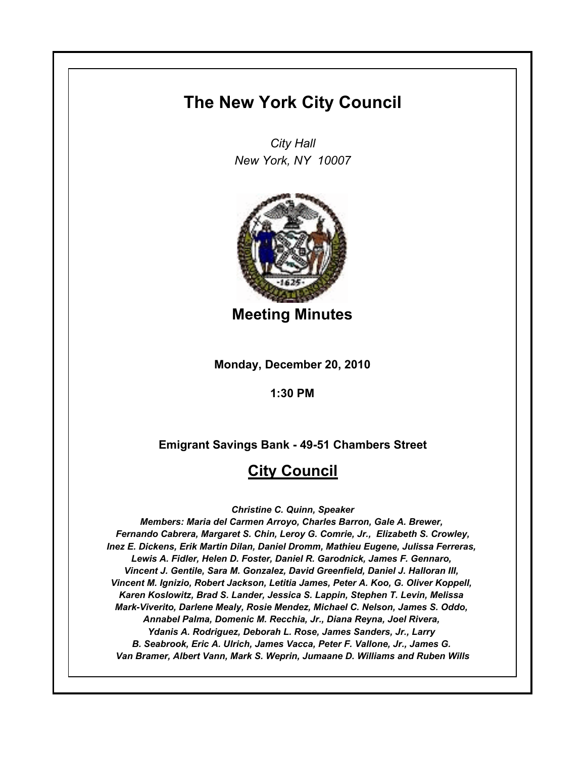# **The New York City Council**

*City Hall New York, NY 10007*



**Meeting Minutes**

**Monday, December 20, 2010**

**1:30 PM**

**Emigrant Savings Bank - 49-51 Chambers Street**

# **City Council**

*Christine C. Quinn, Speaker*

*Members: Maria del Carmen Arroyo, Charles Barron, Gale A. Brewer, Fernando Cabrera, Margaret S. Chin, Leroy G. Comrie, Jr., Elizabeth S. Crowley, Inez E. Dickens, Erik Martin Dilan, Daniel Dromm, Mathieu Eugene, Julissa Ferreras, Lewis A. Fidler, Helen D. Foster, Daniel R. Garodnick, James F. Gennaro, Vincent J. Gentile, Sara M. Gonzalez, David Greenfield, Daniel J. Halloran III, Vincent M. Ignizio, Robert Jackson, Letitia James, Peter A. Koo, G. Oliver Koppell, Karen Koslowitz, Brad S. Lander, Jessica S. Lappin, Stephen T. Levin, Melissa Mark-Viverito, Darlene Mealy, Rosie Mendez, Michael C. Nelson, James S. Oddo, Annabel Palma, Domenic M. Recchia, Jr., Diana Reyna, Joel Rivera, Ydanis A. Rodriguez, Deborah L. Rose, James Sanders, Jr., Larry B. Seabrook, Eric A. Ulrich, James Vacca, Peter F. Vallone, Jr., James G. Van Bramer, Albert Vann, Mark S. Weprin, Jumaane D. Williams and Ruben Wills*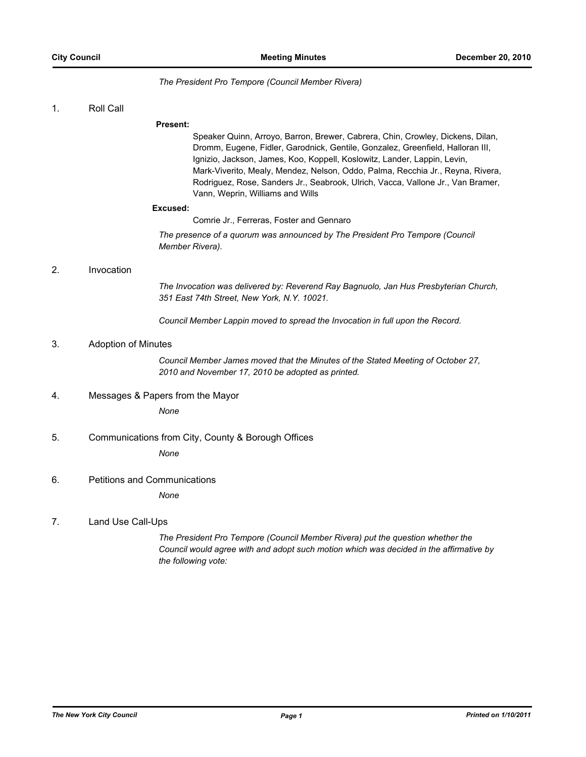#### *The President Pro Tempore (Council Member Rivera)*

#### 1. Roll Call

#### **Present:**

Speaker Quinn, Arroyo, Barron, Brewer, Cabrera, Chin, Crowley, Dickens, Dilan, Dromm, Eugene, Fidler, Garodnick, Gentile, Gonzalez, Greenfield, Halloran III, Ignizio, Jackson, James, Koo, Koppell, Koslowitz, Lander, Lappin, Levin, Mark-Viverito, Mealy, Mendez, Nelson, Oddo, Palma, Recchia Jr., Reyna, Rivera, Rodriguez, Rose, Sanders Jr., Seabrook, Ulrich, Vacca, Vallone Jr., Van Bramer, Vann, Weprin, Williams and Wills

#### **Excused:**

Comrie Jr., Ferreras, Foster and Gennaro

*The presence of a quorum was announced by The President Pro Tempore (Council Member Rivera).*

## 2. Invocation

*The Invocation was delivered by: Reverend Ray Bagnuolo, Jan Hus Presbyterian Church, 351 East 74th Street, New York, N.Y. 10021.*

*Council Member Lappin moved to spread the Invocation in full upon the Record.*

### 3. Adoption of Minutes

*Council Member James moved that the Minutes of the Stated Meeting of October 27, 2010 and November 17, 2010 be adopted as printed.*

4. Messages & Papers from the Mayor

*None*

## 5. Communications from City, County & Borough Offices

*None*

6. Petitions and Communications

*None*

## 7. Land Use Call-Ups

*The President Pro Tempore (Council Member Rivera) put the question whether the Council would agree with and adopt such motion which was decided in the affirmative by the following vote:*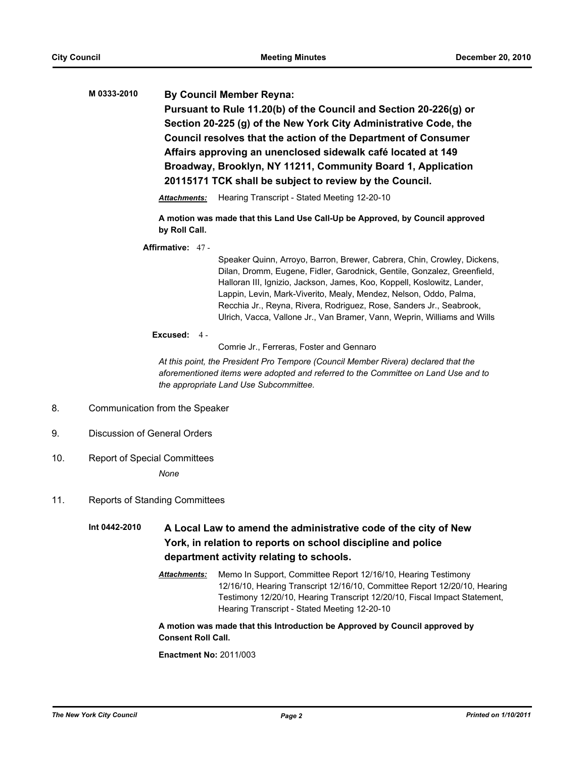**M 0333-2010 By Council Member Reyna: Pursuant to Rule 11.20(b) of the Council and Section 20-226(g) or Section 20-225 (g) of the New York City Administrative Code, the Council resolves that the action of the Department of Consumer Affairs approving an unenclosed sidewalk café located at 149 Broadway, Brooklyn, NY 11211, Community Board 1, Application 20115171 TCK shall be subject to review by the Council.**

#### *Attachments:* Hearing Transcript - Stated Meeting 12-20-10

**A motion was made that this Land Use Call-Up be Approved, by Council approved by Roll Call.**

**Affirmative:** 47 -

Speaker Quinn, Arroyo, Barron, Brewer, Cabrera, Chin, Crowley, Dickens, Dilan, Dromm, Eugene, Fidler, Garodnick, Gentile, Gonzalez, Greenfield, Halloran III, Ignizio, Jackson, James, Koo, Koppell, Koslowitz, Lander, Lappin, Levin, Mark-Viverito, Mealy, Mendez, Nelson, Oddo, Palma, Recchia Jr., Reyna, Rivera, Rodriguez, Rose, Sanders Jr., Seabrook, Ulrich, Vacca, Vallone Jr., Van Bramer, Vann, Weprin, Williams and Wills

#### **Excused:** 4 -

Comrie Jr., Ferreras, Foster and Gennaro

*At this point, the President Pro Tempore (Council Member Rivera) declared that the aforementioned items were adopted and referred to the Committee on Land Use and to the appropriate Land Use Subcommittee.*

- 8. Communication from the Speaker
- 9. Discussion of General Orders
- 10. Report of Special Committees

*None*

11. Reports of Standing Committees

**Int 0442-2010 A Local Law to amend the administrative code of the city of New York, in relation to reports on school discipline and police department activity relating to schools.**

> *Attachments:* Memo In Support, Committee Report 12/16/10, Hearing Testimony 12/16/10, Hearing Transcript 12/16/10, Committee Report 12/20/10, Hearing Testimony 12/20/10, Hearing Transcript 12/20/10, Fiscal Impact Statement, Hearing Transcript - Stated Meeting 12-20-10

**A motion was made that this Introduction be Approved by Council approved by Consent Roll Call.**

**Enactment No:** 2011/003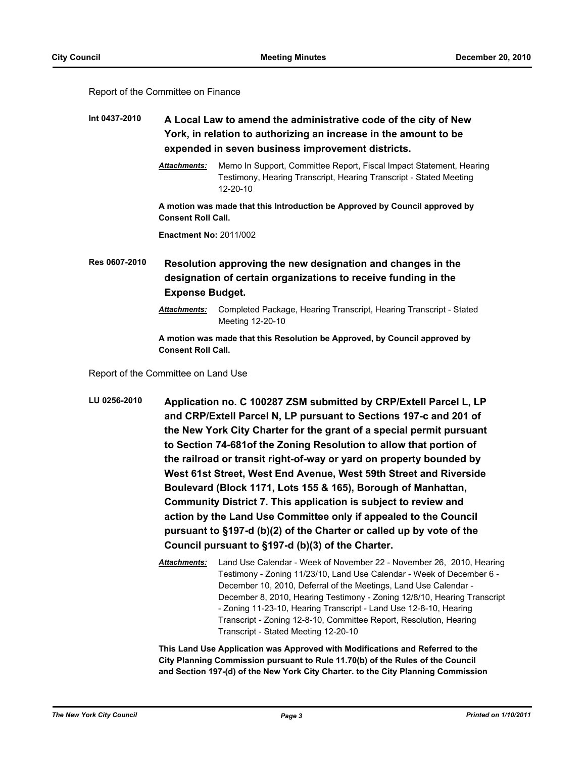#### Report of the Committee on Finance

# **Int 0437-2010 A Local Law to amend the administrative code of the city of New York, in relation to authorizing an increase in the amount to be expended in seven business improvement districts.**

*Attachments:* Memo In Support, Committee Report, Fiscal Impact Statement, Hearing Testimony, Hearing Transcript, Hearing Transcript - Stated Meeting 12-20-10

**A motion was made that this Introduction be Approved by Council approved by Consent Roll Call.**

**Enactment No:** 2011/002

**Res 0607-2010 Resolution approving the new designation and changes in the designation of certain organizations to receive funding in the Expense Budget.**

> *Attachments:* Completed Package, Hearing Transcript, Hearing Transcript - Stated Meeting 12-20-10

**A motion was made that this Resolution be Approved, by Council approved by Consent Roll Call.**

Report of the Committee on Land Use

- **LU 0256-2010 Application no. C 100287 ZSM submitted by CRP/Extell Parcel L, LP and CRP/Extell Parcel N, LP pursuant to Sections 197-c and 201 of the New York City Charter for the grant of a special permit pursuant to Section 74-681of the Zoning Resolution to allow that portion of the railroad or transit right-of-way or yard on property bounded by West 61st Street, West End Avenue, West 59th Street and Riverside Boulevard (Block 1171, Lots 155 & 165), Borough of Manhattan, Community District 7. This application is subject to review and action by the Land Use Committee only if appealed to the Council pursuant to §197-d (b)(2) of the Charter or called up by vote of the Council pursuant to §197-d (b)(3) of the Charter.**
	- *Attachments:* Land Use Calendar Week of November 22 November 26, 2010, Hearing Testimony - Zoning 11/23/10, Land Use Calendar - Week of December 6 - December 10, 2010, Deferral of the Meetings, Land Use Calendar - December 8, 2010, Hearing Testimony - Zoning 12/8/10, Hearing Transcript - Zoning 11-23-10, Hearing Transcript - Land Use 12-8-10, Hearing Transcript - Zoning 12-8-10, Committee Report, Resolution, Hearing Transcript - Stated Meeting 12-20-10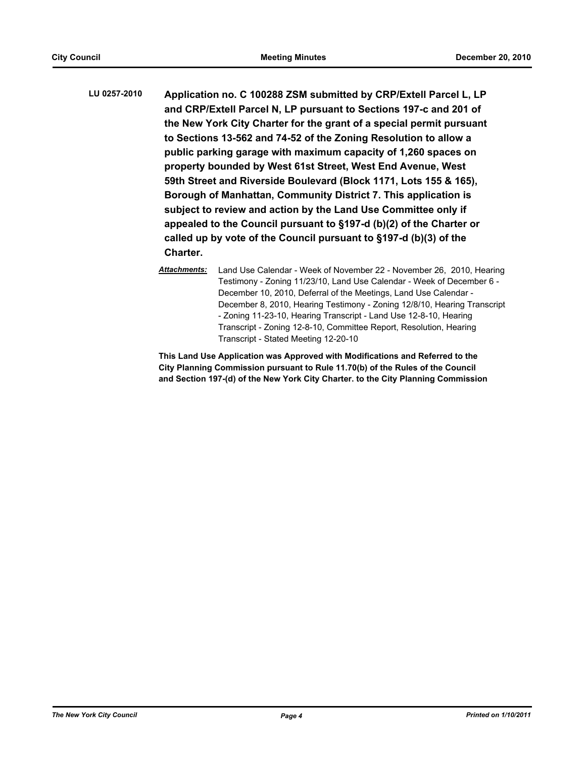- **LU 0257-2010 Application no. C 100288 ZSM submitted by CRP/Extell Parcel L, LP and CRP/Extell Parcel N, LP pursuant to Sections 197-c and 201 of the New York City Charter for the grant of a special permit pursuant to Sections 13-562 and 74-52 of the Zoning Resolution to allow a public parking garage with maximum capacity of 1,260 spaces on property bounded by West 61st Street, West End Avenue, West 59th Street and Riverside Boulevard (Block 1171, Lots 155 & 165), Borough of Manhattan, Community District 7. This application is subject to review and action by the Land Use Committee only if appealed to the Council pursuant to §197-d (b)(2) of the Charter or called up by vote of the Council pursuant to §197-d (b)(3) of the Charter.**
	- *Attachments:* Land Use Calendar Week of November 22 November 26, 2010, Hearing Testimony - Zoning 11/23/10, Land Use Calendar - Week of December 6 - December 10, 2010, Deferral of the Meetings, Land Use Calendar - December 8, 2010, Hearing Testimony - Zoning 12/8/10, Hearing Transcript - Zoning 11-23-10, Hearing Transcript - Land Use 12-8-10, Hearing Transcript - Zoning 12-8-10, Committee Report, Resolution, Hearing Transcript - Stated Meeting 12-20-10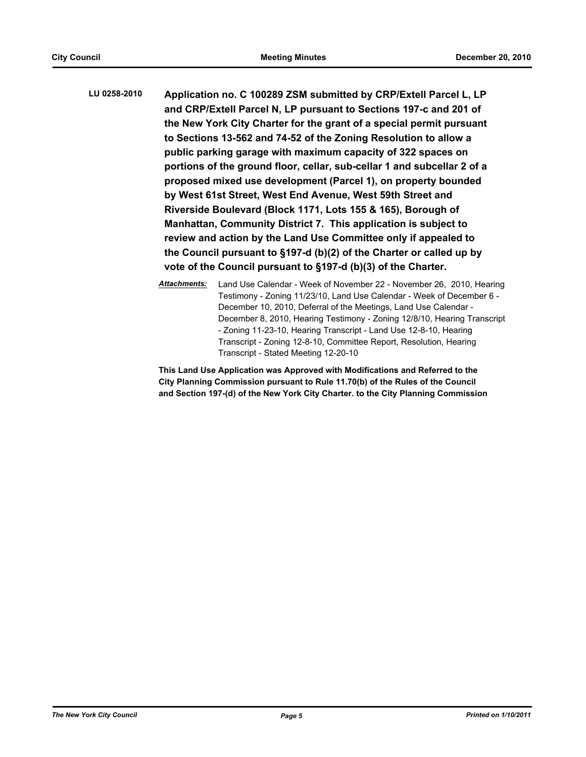**LU 0258-2010 Application no. C 100289 ZSM submitted by CRP/Extell Parcel L, LP and CRP/Extell Parcel N, LP pursuant to Sections 197-c and 201 of the New York City Charter for the grant of a special permit pursuant to Sections 13-562 and 74-52 of the Zoning Resolution to allow a public parking garage with maximum capacity of 322 spaces on portions of the ground floor, cellar, sub-cellar 1 and subcellar 2 of a proposed mixed use development (Parcel 1), on property bounded by West 61st Street, West End Avenue, West 59th Street and Riverside Boulevard (Block 1171, Lots 155 & 165), Borough of Manhattan, Community District 7. This application is subject to review and action by the Land Use Committee only if appealed to the Council pursuant to §197-d (b)(2) of the Charter or called up by vote of the Council pursuant to §197-d (b)(3) of the Charter.**

> *Attachments:* Land Use Calendar - Week of November 22 - November 26, 2010, Hearing Testimony - Zoning 11/23/10, Land Use Calendar - Week of December 6 - December 10, 2010, Deferral of the Meetings, Land Use Calendar - December 8, 2010, Hearing Testimony - Zoning 12/8/10, Hearing Transcript - Zoning 11-23-10, Hearing Transcript - Land Use 12-8-10, Hearing Transcript - Zoning 12-8-10, Committee Report, Resolution, Hearing Transcript - Stated Meeting 12-20-10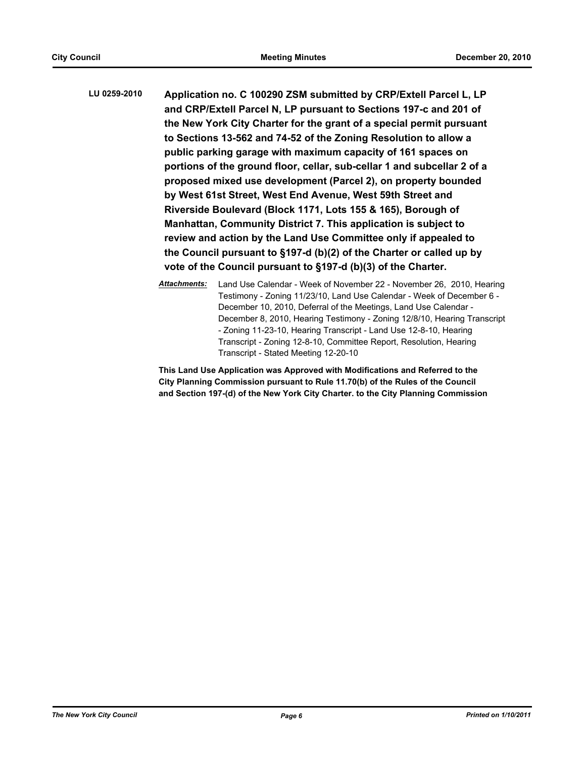**LU 0259-2010 Application no. C 100290 ZSM submitted by CRP/Extell Parcel L, LP and CRP/Extell Parcel N, LP pursuant to Sections 197-c and 201 of the New York City Charter for the grant of a special permit pursuant to Sections 13-562 and 74-52 of the Zoning Resolution to allow a public parking garage with maximum capacity of 161 spaces on portions of the ground floor, cellar, sub-cellar 1 and subcellar 2 of a proposed mixed use development (Parcel 2), on property bounded by West 61st Street, West End Avenue, West 59th Street and Riverside Boulevard (Block 1171, Lots 155 & 165), Borough of Manhattan, Community District 7. This application is subject to review and action by the Land Use Committee only if appealed to the Council pursuant to §197-d (b)(2) of the Charter or called up by vote of the Council pursuant to §197-d (b)(3) of the Charter.**

> *Attachments:* Land Use Calendar - Week of November 22 - November 26, 2010, Hearing Testimony - Zoning 11/23/10, Land Use Calendar - Week of December 6 - December 10, 2010, Deferral of the Meetings, Land Use Calendar - December 8, 2010, Hearing Testimony - Zoning 12/8/10, Hearing Transcript - Zoning 11-23-10, Hearing Transcript - Land Use 12-8-10, Hearing Transcript - Zoning 12-8-10, Committee Report, Resolution, Hearing Transcript - Stated Meeting 12-20-10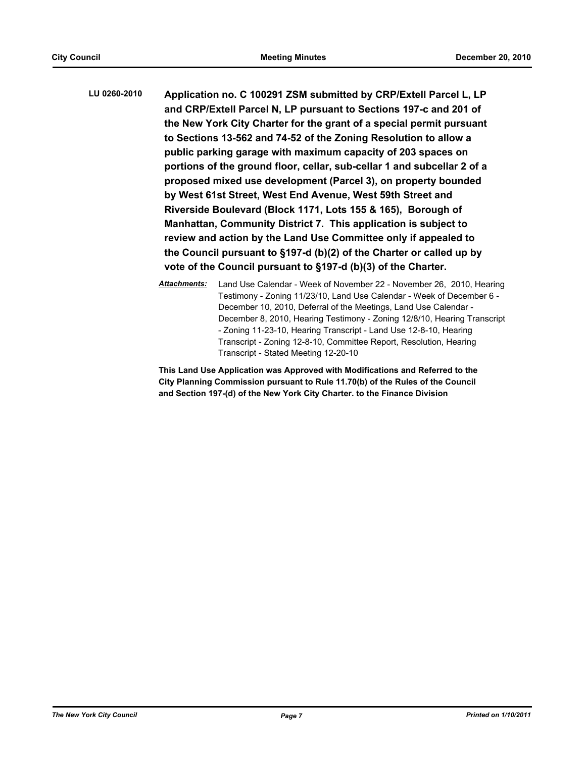**LU 0260-2010 Application no. C 100291 ZSM submitted by CRP/Extell Parcel L, LP and CRP/Extell Parcel N, LP pursuant to Sections 197-c and 201 of the New York City Charter for the grant of a special permit pursuant to Sections 13-562 and 74-52 of the Zoning Resolution to allow a public parking garage with maximum capacity of 203 spaces on portions of the ground floor, cellar, sub-cellar 1 and subcellar 2 of a proposed mixed use development (Parcel 3), on property bounded by West 61st Street, West End Avenue, West 59th Street and Riverside Boulevard (Block 1171, Lots 155 & 165), Borough of Manhattan, Community District 7. This application is subject to review and action by the Land Use Committee only if appealed to the Council pursuant to §197-d (b)(2) of the Charter or called up by vote of the Council pursuant to §197-d (b)(3) of the Charter.**

> *Attachments:* Land Use Calendar - Week of November 22 - November 26, 2010, Hearing Testimony - Zoning 11/23/10, Land Use Calendar - Week of December 6 - December 10, 2010, Deferral of the Meetings, Land Use Calendar - December 8, 2010, Hearing Testimony - Zoning 12/8/10, Hearing Transcript - Zoning 11-23-10, Hearing Transcript - Land Use 12-8-10, Hearing Transcript - Zoning 12-8-10, Committee Report, Resolution, Hearing Transcript - Stated Meeting 12-20-10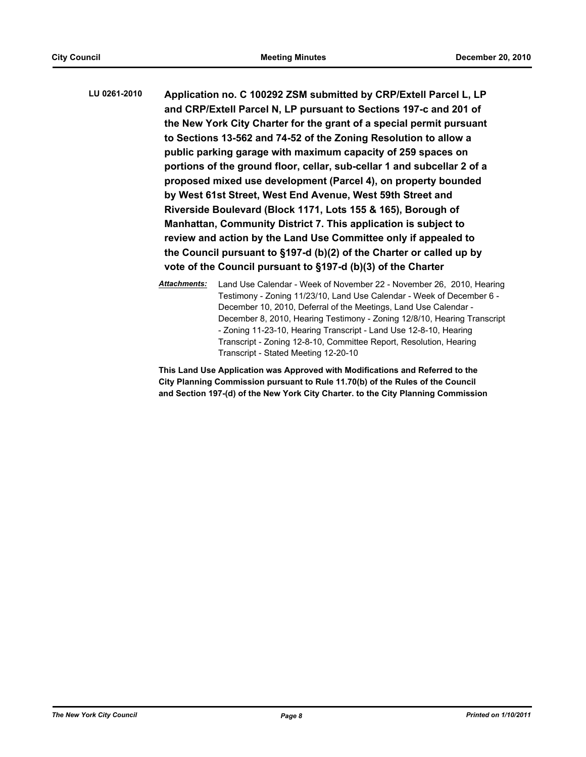**LU 0261-2010 Application no. C 100292 ZSM submitted by CRP/Extell Parcel L, LP and CRP/Extell Parcel N, LP pursuant to Sections 197-c and 201 of the New York City Charter for the grant of a special permit pursuant to Sections 13-562 and 74-52 of the Zoning Resolution to allow a public parking garage with maximum capacity of 259 spaces on portions of the ground floor, cellar, sub-cellar 1 and subcellar 2 of a proposed mixed use development (Parcel 4), on property bounded by West 61st Street, West End Avenue, West 59th Street and Riverside Boulevard (Block 1171, Lots 155 & 165), Borough of Manhattan, Community District 7. This application is subject to review and action by the Land Use Committee only if appealed to the Council pursuant to §197-d (b)(2) of the Charter or called up by vote of the Council pursuant to §197-d (b)(3) of the Charter**

> *Attachments:* Land Use Calendar - Week of November 22 - November 26, 2010, Hearing Testimony - Zoning 11/23/10, Land Use Calendar - Week of December 6 - December 10, 2010, Deferral of the Meetings, Land Use Calendar - December 8, 2010, Hearing Testimony - Zoning 12/8/10, Hearing Transcript - Zoning 11-23-10, Hearing Transcript - Land Use 12-8-10, Hearing Transcript - Zoning 12-8-10, Committee Report, Resolution, Hearing Transcript - Stated Meeting 12-20-10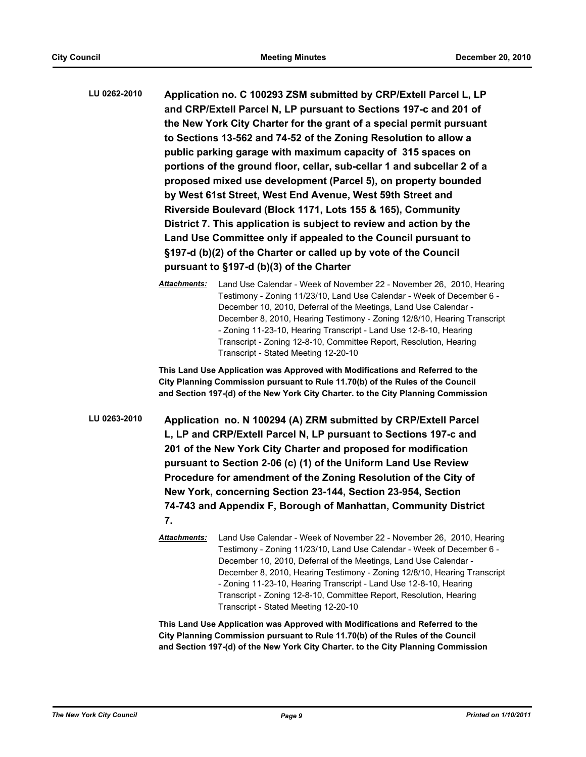**LU 0262-2010 Application no. C 100293 ZSM submitted by CRP/Extell Parcel L, LP and CRP/Extell Parcel N, LP pursuant to Sections 197-c and 201 of the New York City Charter for the grant of a special permit pursuant to Sections 13-562 and 74-52 of the Zoning Resolution to allow a public parking garage with maximum capacity of 315 spaces on portions of the ground floor, cellar, sub-cellar 1 and subcellar 2 of a proposed mixed use development (Parcel 5), on property bounded by West 61st Street, West End Avenue, West 59th Street and Riverside Boulevard (Block 1171, Lots 155 & 165), Community District 7. This application is subject to review and action by the Land Use Committee only if appealed to the Council pursuant to §197-d (b)(2) of the Charter or called up by vote of the Council pursuant to §197-d (b)(3) of the Charter**

> *Attachments:* Land Use Calendar - Week of November 22 - November 26, 2010, Hearing Testimony - Zoning 11/23/10, Land Use Calendar - Week of December 6 - December 10, 2010, Deferral of the Meetings, Land Use Calendar - December 8, 2010, Hearing Testimony - Zoning 12/8/10, Hearing Transcript - Zoning 11-23-10, Hearing Transcript - Land Use 12-8-10, Hearing Transcript - Zoning 12-8-10, Committee Report, Resolution, Hearing Transcript - Stated Meeting 12-20-10

**This Land Use Application was Approved with Modifications and Referred to the City Planning Commission pursuant to Rule 11.70(b) of the Rules of the Council and Section 197-(d) of the New York City Charter. to the City Planning Commission**

- **LU 0263-2010 Application no. N 100294 (A) ZRM submitted by CRP/Extell Parcel L, LP and CRP/Extell Parcel N, LP pursuant to Sections 197-c and 201 of the New York City Charter and proposed for modification pursuant to Section 2-06 (c) (1) of the Uniform Land Use Review Procedure for amendment of the Zoning Resolution of the City of New York, concerning Section 23-144, Section 23-954, Section 74-743 and Appendix F, Borough of Manhattan, Community District 7.**
	- *Attachments:* Land Use Calendar Week of November 22 November 26, 2010, Hearing Testimony - Zoning 11/23/10, Land Use Calendar - Week of December 6 - December 10, 2010, Deferral of the Meetings, Land Use Calendar - December 8, 2010, Hearing Testimony - Zoning 12/8/10, Hearing Transcript - Zoning 11-23-10, Hearing Transcript - Land Use 12-8-10, Hearing Transcript - Zoning 12-8-10, Committee Report, Resolution, Hearing Transcript - Stated Meeting 12-20-10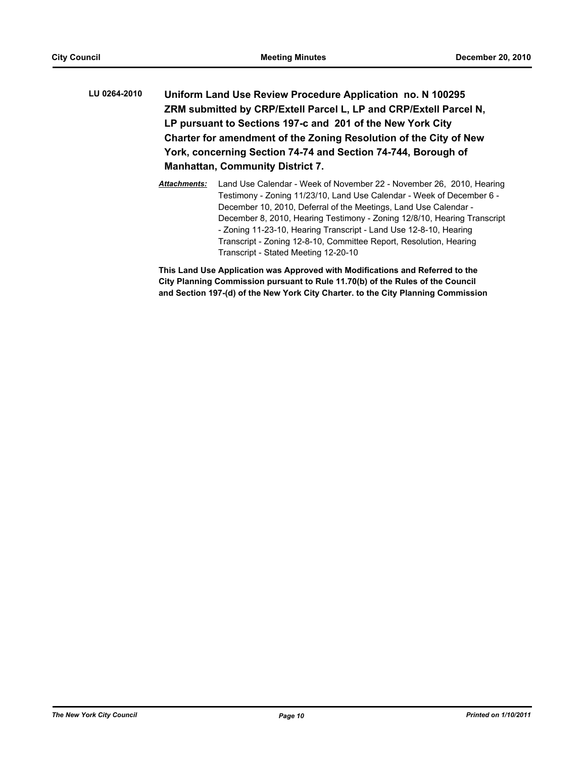- **LU 0264-2010 Uniform Land Use Review Procedure Application no. N 100295 ZRM submitted by CRP/Extell Parcel L, LP and CRP/Extell Parcel N, LP pursuant to Sections 197-c and 201 of the New York City Charter for amendment of the Zoning Resolution of the City of New York, concerning Section 74-74 and Section 74-744, Borough of Manhattan, Community District 7.**
	- *Attachments:* Land Use Calendar Week of November 22 November 26, 2010, Hearing Testimony - Zoning 11/23/10, Land Use Calendar - Week of December 6 - December 10, 2010, Deferral of the Meetings, Land Use Calendar - December 8, 2010, Hearing Testimony - Zoning 12/8/10, Hearing Transcript - Zoning 11-23-10, Hearing Transcript - Land Use 12-8-10, Hearing Transcript - Zoning 12-8-10, Committee Report, Resolution, Hearing Transcript - Stated Meeting 12-20-10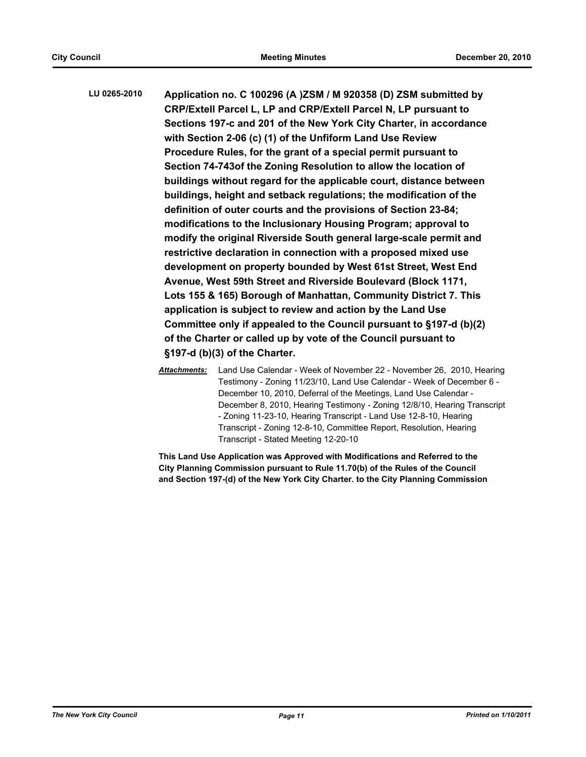**LU 0265-2010 Application no. C 100296 (A )ZSM / M 920358 (D) ZSM submitted by CRP/Extell Parcel L, LP and CRP/Extell Parcel N, LP pursuant to Sections 197-c and 201 of the New York City Charter, in accordance with Section 2-06 (c) (1) of the Unfiform Land Use Review Procedure Rules, for the grant of a special permit pursuant to Section 74-743of the Zoning Resolution to allow the location of buildings without regard for the applicable court, distance between buildings, height and setback regulations; the modification of the definition of outer courts and the provisions of Section 23-84; modifications to the Inclusionary Housing Program; approval to modify the original Riverside South general large-scale permit and restrictive declaration in connection with a proposed mixed use development on property bounded by West 61st Street, West End Avenue, West 59th Street and Riverside Boulevard (Block 1171, Lots 155 & 165) Borough of Manhattan, Community District 7. This application is subject to review and action by the Land Use Committee only if appealed to the Council pursuant to §197-d (b)(2) of the Charter or called up by vote of the Council pursuant to §197-d (b)(3) of the Charter.**

> *Attachments:* Land Use Calendar - Week of November 22 - November 26, 2010, Hearing Testimony - Zoning 11/23/10, Land Use Calendar - Week of December 6 - December 10, 2010, Deferral of the Meetings, Land Use Calendar - December 8, 2010, Hearing Testimony - Zoning 12/8/10, Hearing Transcript - Zoning 11-23-10, Hearing Transcript - Land Use 12-8-10, Hearing Transcript - Zoning 12-8-10, Committee Report, Resolution, Hearing Transcript - Stated Meeting 12-20-10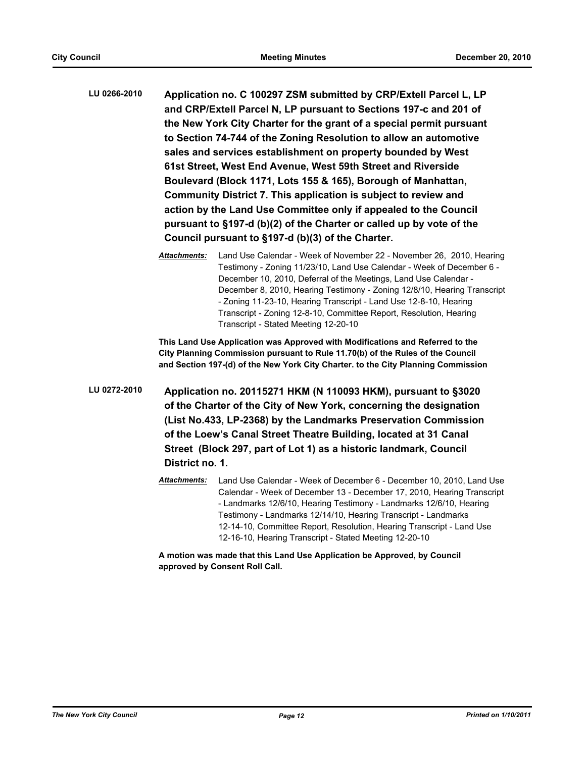- **LU 0266-2010 Application no. C 100297 ZSM submitted by CRP/Extell Parcel L, LP and CRP/Extell Parcel N, LP pursuant to Sections 197-c and 201 of the New York City Charter for the grant of a special permit pursuant to Section 74-744 of the Zoning Resolution to allow an automotive sales and services establishment on property bounded by West 61st Street, West End Avenue, West 59th Street and Riverside Boulevard (Block 1171, Lots 155 & 165), Borough of Manhattan, Community District 7. This application is subject to review and action by the Land Use Committee only if appealed to the Council pursuant to §197-d (b)(2) of the Charter or called up by vote of the Council pursuant to §197-d (b)(3) of the Charter.**
	- *Attachments:* Land Use Calendar Week of November 22 November 26, 2010, Hearing Testimony - Zoning 11/23/10, Land Use Calendar - Week of December 6 - December 10, 2010, Deferral of the Meetings, Land Use Calendar - December 8, 2010, Hearing Testimony - Zoning 12/8/10, Hearing Transcript - Zoning 11-23-10, Hearing Transcript - Land Use 12-8-10, Hearing Transcript - Zoning 12-8-10, Committee Report, Resolution, Hearing Transcript - Stated Meeting 12-20-10

**This Land Use Application was Approved with Modifications and Referred to the City Planning Commission pursuant to Rule 11.70(b) of the Rules of the Council and Section 197-(d) of the New York City Charter. to the City Planning Commission**

**LU 0272-2010 Application no. 20115271 HKM (N 110093 HKM), pursuant to §3020 of the Charter of the City of New York, concerning the designation (List No.433, LP-2368) by the Landmarks Preservation Commission of the Loew's Canal Street Theatre Building, located at 31 Canal Street (Block 297, part of Lot 1) as a historic landmark, Council District no. 1.**

> *Attachments:* Land Use Calendar - Week of December 6 - December 10, 2010, Land Use Calendar - Week of December 13 - December 17, 2010, Hearing Transcript - Landmarks 12/6/10, Hearing Testimony - Landmarks 12/6/10, Hearing Testimony - Landmarks 12/14/10, Hearing Transcript - Landmarks 12-14-10, Committee Report, Resolution, Hearing Transcript - Land Use 12-16-10, Hearing Transcript - Stated Meeting 12-20-10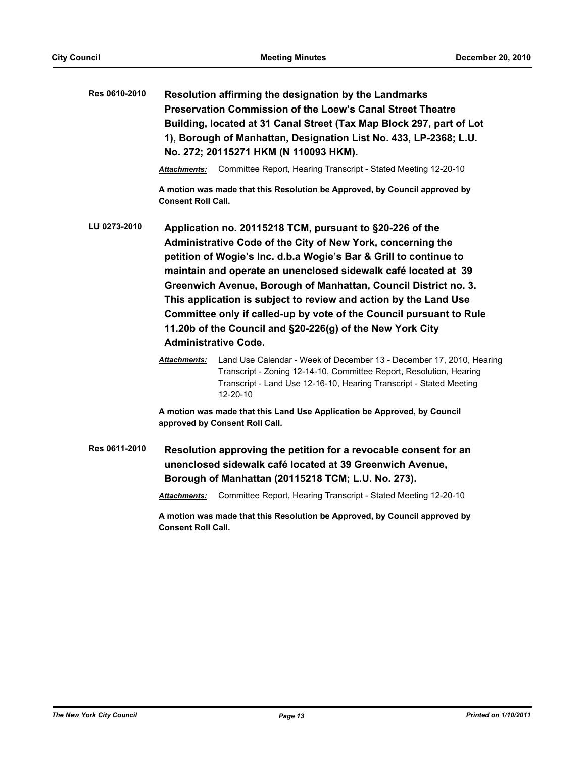| Res 0610-2010 | Resolution affirming the designation by the Landmarks<br><b>Preservation Commission of the Loew's Canal Street Theatre</b><br>Building, located at 31 Canal Street (Tax Map Block 297, part of Lot<br>1), Borough of Manhattan, Designation List No. 433, LP-2368; L.U.<br>No. 272; 20115271 HKM (N 110093 HKM).                                                                                                                                                                                                                                                         |                                                                                                                                                                                                                                |  |  |
|---------------|--------------------------------------------------------------------------------------------------------------------------------------------------------------------------------------------------------------------------------------------------------------------------------------------------------------------------------------------------------------------------------------------------------------------------------------------------------------------------------------------------------------------------------------------------------------------------|--------------------------------------------------------------------------------------------------------------------------------------------------------------------------------------------------------------------------------|--|--|
|               | <b>Attachments:</b>                                                                                                                                                                                                                                                                                                                                                                                                                                                                                                                                                      | Committee Report, Hearing Transcript - Stated Meeting 12-20-10                                                                                                                                                                 |  |  |
|               | <b>Consent Roll Call.</b>                                                                                                                                                                                                                                                                                                                                                                                                                                                                                                                                                | A motion was made that this Resolution be Approved, by Council approved by                                                                                                                                                     |  |  |
| LU 0273-2010  | Application no. 20115218 TCM, pursuant to §20-226 of the<br>Administrative Code of the City of New York, concerning the<br>petition of Wogie's Inc. d.b.a Wogie's Bar & Grill to continue to<br>maintain and operate an unenclosed sidewalk café located at 39<br>Greenwich Avenue, Borough of Manhattan, Council District no. 3.<br>This application is subject to review and action by the Land Use<br>Committee only if called-up by vote of the Council pursuant to Rule<br>11.20b of the Council and §20-226(g) of the New York City<br><b>Administrative Code.</b> |                                                                                                                                                                                                                                |  |  |
|               | Attachments:                                                                                                                                                                                                                                                                                                                                                                                                                                                                                                                                                             | Land Use Calendar - Week of December 13 - December 17, 2010, Hearing<br>Transcript - Zoning 12-14-10, Committee Report, Resolution, Hearing<br>Transcript - Land Use 12-16-10, Hearing Transcript - Stated Meeting<br>12-20-10 |  |  |
|               | A motion was made that this Land Use Application be Approved, by Council<br>approved by Consent Roll Call.                                                                                                                                                                                                                                                                                                                                                                                                                                                               |                                                                                                                                                                                                                                |  |  |
| Res 0611-2010 | Resolution approving the petition for a revocable consent for an<br>unenclosed sidewalk café located at 39 Greenwich Avenue,<br>Borough of Manhattan (20115218 TCM; L.U. No. 273).                                                                                                                                                                                                                                                                                                                                                                                       |                                                                                                                                                                                                                                |  |  |
|               | Attachments:                                                                                                                                                                                                                                                                                                                                                                                                                                                                                                                                                             | Committee Report, Hearing Transcript - Stated Meeting 12-20-10                                                                                                                                                                 |  |  |
|               | A motion was made that this Resolution be Approved, by Council approved by<br><b>Consent Roll Call.</b>                                                                                                                                                                                                                                                                                                                                                                                                                                                                  |                                                                                                                                                                                                                                |  |  |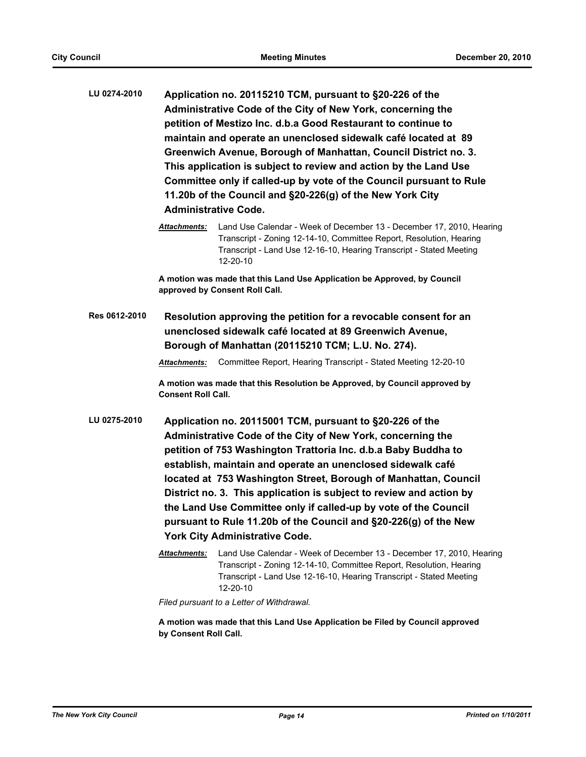- **LU 0274-2010 Application no. 20115210 TCM, pursuant to §20-226 of the Administrative Code of the City of New York, concerning the petition of Mestizo Inc. d.b.a Good Restaurant to continue to maintain and operate an unenclosed sidewalk café located at 89 Greenwich Avenue, Borough of Manhattan, Council District no. 3. This application is subject to review and action by the Land Use Committee only if called-up by vote of the Council pursuant to Rule 11.20b of the Council and §20-226(g) of the New York City Administrative Code.**
	- *Attachments:* Land Use Calendar Week of December 13 December 17, 2010, Hearing Transcript - Zoning 12-14-10, Committee Report, Resolution, Hearing Transcript - Land Use 12-16-10, Hearing Transcript - Stated Meeting 12-20-10

**A motion was made that this Land Use Application be Approved, by Council approved by Consent Roll Call.**

**Res 0612-2010 Resolution approving the petition for a revocable consent for an unenclosed sidewalk café located at 89 Greenwich Avenue, Borough of Manhattan (20115210 TCM; L.U. No. 274).**

*Attachments:* Committee Report, Hearing Transcript - Stated Meeting 12-20-10

**A motion was made that this Resolution be Approved, by Council approved by Consent Roll Call.**

- **LU 0275-2010 Application no. 20115001 TCM, pursuant to §20-226 of the Administrative Code of the City of New York, concerning the petition of 753 Washington Trattoria Inc. d.b.a Baby Buddha to establish, maintain and operate an unenclosed sidewalk café located at 753 Washington Street, Borough of Manhattan, Council District no. 3. This application is subject to review and action by the Land Use Committee only if called-up by vote of the Council pursuant to Rule 11.20b of the Council and §20-226(g) of the New York City Administrative Code.**
	- *Attachments:* Land Use Calendar Week of December 13 December 17, 2010, Hearing Transcript - Zoning 12-14-10, Committee Report, Resolution, Hearing Transcript - Land Use 12-16-10, Hearing Transcript - Stated Meeting 12-20-10

*Filed pursuant to a Letter of Withdrawal.*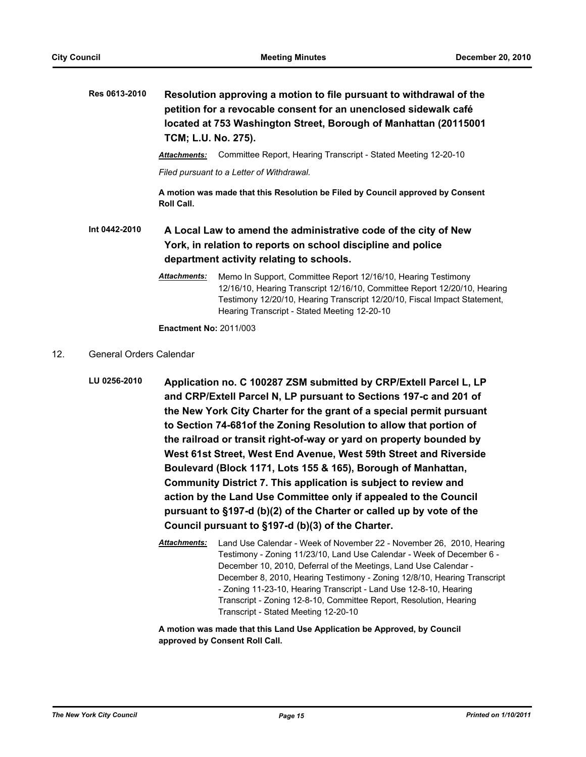**Res 0613-2010 Resolution approving a motion to file pursuant to withdrawal of the petition for a revocable consent for an unenclosed sidewalk café located at 753 Washington Street, Borough of Manhattan (20115001 TCM; L.U. No. 275).**

*Attachments:* Committee Report, Hearing Transcript - Stated Meeting 12-20-10

*Filed pursuant to a Letter of Withdrawal.*

**A motion was made that this Resolution be Filed by Council approved by Consent Roll Call.**

**Int 0442-2010 A Local Law to amend the administrative code of the city of New York, in relation to reports on school discipline and police department activity relating to schools.**

> *Attachments:* Memo In Support, Committee Report 12/16/10, Hearing Testimony 12/16/10, Hearing Transcript 12/16/10, Committee Report 12/20/10, Hearing Testimony 12/20/10, Hearing Transcript 12/20/10, Fiscal Impact Statement, Hearing Transcript - Stated Meeting 12-20-10

**Enactment No:** 2011/003

- 12. General Orders Calendar
	- **LU 0256-2010 Application no. C 100287 ZSM submitted by CRP/Extell Parcel L, LP and CRP/Extell Parcel N, LP pursuant to Sections 197-c and 201 of the New York City Charter for the grant of a special permit pursuant to Section 74-681of the Zoning Resolution to allow that portion of the railroad or transit right-of-way or yard on property bounded by West 61st Street, West End Avenue, West 59th Street and Riverside Boulevard (Block 1171, Lots 155 & 165), Borough of Manhattan, Community District 7. This application is subject to review and action by the Land Use Committee only if appealed to the Council pursuant to §197-d (b)(2) of the Charter or called up by vote of the Council pursuant to §197-d (b)(3) of the Charter.**
		- *Attachments:* Land Use Calendar Week of November 22 November 26, 2010, Hearing Testimony - Zoning 11/23/10, Land Use Calendar - Week of December 6 - December 10, 2010, Deferral of the Meetings, Land Use Calendar - December 8, 2010, Hearing Testimony - Zoning 12/8/10, Hearing Transcript - Zoning 11-23-10, Hearing Transcript - Land Use 12-8-10, Hearing Transcript - Zoning 12-8-10, Committee Report, Resolution, Hearing Transcript - Stated Meeting 12-20-10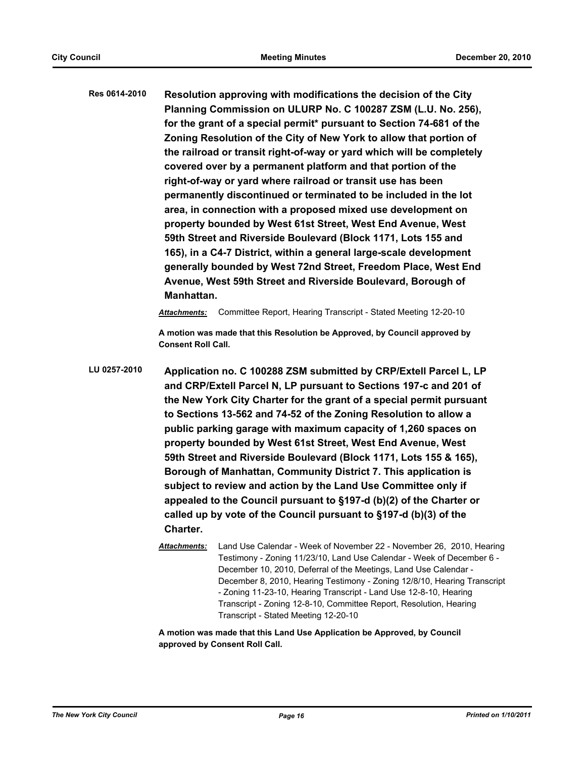**Res 0614-2010 Resolution approving with modifications the decision of the City Planning Commission on ULURP No. C 100287 ZSM (L.U. No. 256), for the grant of a special permit\* pursuant to Section 74-681 of the Zoning Resolution of the City of New York to allow that portion of the railroad or transit right-of-way or yard which will be completely covered over by a permanent platform and that portion of the right-of-way or yard where railroad or transit use has been permanently discontinued or terminated to be included in the lot area, in connection with a proposed mixed use development on property bounded by West 61st Street, West End Avenue, West 59th Street and Riverside Boulevard (Block 1171, Lots 155 and 165), in a C4-7 District, within a general large-scale development generally bounded by West 72nd Street, Freedom Place, West End Avenue, West 59th Street and Riverside Boulevard, Borough of Manhattan.**

*Attachments:* Committee Report, Hearing Transcript - Stated Meeting 12-20-10

**A motion was made that this Resolution be Approved, by Council approved by Consent Roll Call.**

- **LU 0257-2010 Application no. C 100288 ZSM submitted by CRP/Extell Parcel L, LP and CRP/Extell Parcel N, LP pursuant to Sections 197-c and 201 of the New York City Charter for the grant of a special permit pursuant to Sections 13-562 and 74-52 of the Zoning Resolution to allow a public parking garage with maximum capacity of 1,260 spaces on property bounded by West 61st Street, West End Avenue, West 59th Street and Riverside Boulevard (Block 1171, Lots 155 & 165), Borough of Manhattan, Community District 7. This application is subject to review and action by the Land Use Committee only if appealed to the Council pursuant to §197-d (b)(2) of the Charter or called up by vote of the Council pursuant to §197-d (b)(3) of the Charter.**
	- *Attachments:* Land Use Calendar Week of November 22 November 26, 2010, Hearing Testimony - Zoning 11/23/10, Land Use Calendar - Week of December 6 - December 10, 2010, Deferral of the Meetings, Land Use Calendar - December 8, 2010, Hearing Testimony - Zoning 12/8/10, Hearing Transcript - Zoning 11-23-10, Hearing Transcript - Land Use 12-8-10, Hearing Transcript - Zoning 12-8-10, Committee Report, Resolution, Hearing Transcript - Stated Meeting 12-20-10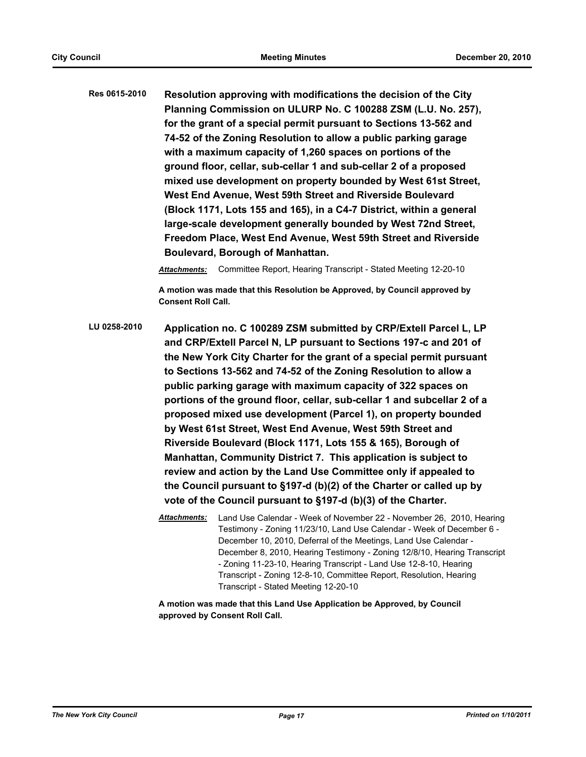**Res 0615-2010 Resolution approving with modifications the decision of the City Planning Commission on ULURP No. C 100288 ZSM (L.U. No. 257), for the grant of a special permit pursuant to Sections 13-562 and 74-52 of the Zoning Resolution to allow a public parking garage with a maximum capacity of 1,260 spaces on portions of the ground floor, cellar, sub-cellar 1 and sub-cellar 2 of a proposed mixed use development on property bounded by West 61st Street, West End Avenue, West 59th Street and Riverside Boulevard (Block 1171, Lots 155 and 165), in a C4-7 District, within a general large-scale development generally bounded by West 72nd Street, Freedom Place, West End Avenue, West 59th Street and Riverside Boulevard, Borough of Manhattan.**

*Attachments:* Committee Report, Hearing Transcript - Stated Meeting 12-20-10

**A motion was made that this Resolution be Approved, by Council approved by Consent Roll Call.**

**LU 0258-2010 Application no. C 100289 ZSM submitted by CRP/Extell Parcel L, LP and CRP/Extell Parcel N, LP pursuant to Sections 197-c and 201 of the New York City Charter for the grant of a special permit pursuant to Sections 13-562 and 74-52 of the Zoning Resolution to allow a public parking garage with maximum capacity of 322 spaces on portions of the ground floor, cellar, sub-cellar 1 and subcellar 2 of a proposed mixed use development (Parcel 1), on property bounded by West 61st Street, West End Avenue, West 59th Street and Riverside Boulevard (Block 1171, Lots 155 & 165), Borough of Manhattan, Community District 7. This application is subject to review and action by the Land Use Committee only if appealed to the Council pursuant to §197-d (b)(2) of the Charter or called up by vote of the Council pursuant to §197-d (b)(3) of the Charter.**

> *Attachments:* Land Use Calendar - Week of November 22 - November 26, 2010, Hearing Testimony - Zoning 11/23/10, Land Use Calendar - Week of December 6 - December 10, 2010, Deferral of the Meetings, Land Use Calendar - December 8, 2010, Hearing Testimony - Zoning 12/8/10, Hearing Transcript - Zoning 11-23-10, Hearing Transcript - Land Use 12-8-10, Hearing Transcript - Zoning 12-8-10, Committee Report, Resolution, Hearing Transcript - Stated Meeting 12-20-10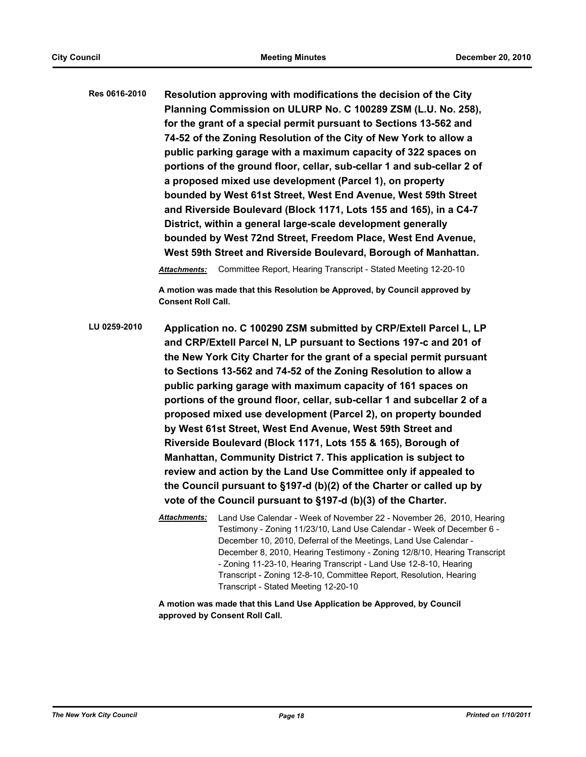**Res 0616-2010 Resolution approving with modifications the decision of the City Planning Commission on ULURP No. C 100289 ZSM (L.U. No. 258), for the grant of a special permit pursuant to Sections 13-562 and 74-52 of the Zoning Resolution of the City of New York to allow a public parking garage with a maximum capacity of 322 spaces on portions of the ground floor, cellar, sub-cellar 1 and sub-cellar 2 of a proposed mixed use development (Parcel 1), on property bounded by West 61st Street, West End Avenue, West 59th Street and Riverside Boulevard (Block 1171, Lots 155 and 165), in a C4-7 District, within a general large-scale development generally bounded by West 72nd Street, Freedom Place, West End Avenue, West 59th Street and Riverside Boulevard, Borough of Manhattan.**

*Attachments:* Committee Report, Hearing Transcript - Stated Meeting 12-20-10

**A motion was made that this Resolution be Approved, by Council approved by Consent Roll Call.**

**LU 0259-2010 Application no. C 100290 ZSM submitted by CRP/Extell Parcel L, LP and CRP/Extell Parcel N, LP pursuant to Sections 197-c and 201 of the New York City Charter for the grant of a special permit pursuant to Sections 13-562 and 74-52 of the Zoning Resolution to allow a public parking garage with maximum capacity of 161 spaces on portions of the ground floor, cellar, sub-cellar 1 and subcellar 2 of a proposed mixed use development (Parcel 2), on property bounded by West 61st Street, West End Avenue, West 59th Street and Riverside Boulevard (Block 1171, Lots 155 & 165), Borough of Manhattan, Community District 7. This application is subject to review and action by the Land Use Committee only if appealed to the Council pursuant to §197-d (b)(2) of the Charter or called up by vote of the Council pursuant to §197-d (b)(3) of the Charter.**

> *Attachments:* Land Use Calendar - Week of November 22 - November 26, 2010, Hearing Testimony - Zoning 11/23/10, Land Use Calendar - Week of December 6 - December 10, 2010, Deferral of the Meetings, Land Use Calendar - December 8, 2010, Hearing Testimony - Zoning 12/8/10, Hearing Transcript - Zoning 11-23-10, Hearing Transcript - Land Use 12-8-10, Hearing Transcript - Zoning 12-8-10, Committee Report, Resolution, Hearing Transcript - Stated Meeting 12-20-10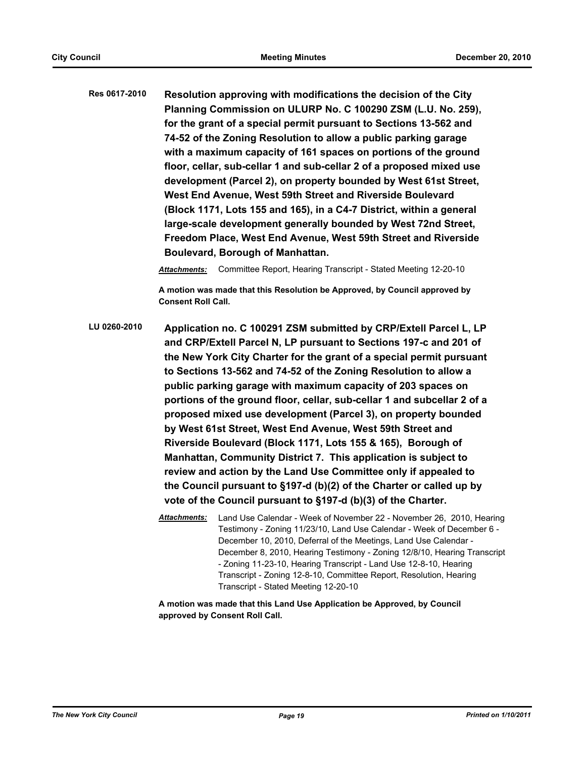**Res 0617-2010 Resolution approving with modifications the decision of the City Planning Commission on ULURP No. C 100290 ZSM (L.U. No. 259), for the grant of a special permit pursuant to Sections 13-562 and 74-52 of the Zoning Resolution to allow a public parking garage with a maximum capacity of 161 spaces on portions of the ground floor, cellar, sub-cellar 1 and sub-cellar 2 of a proposed mixed use development (Parcel 2), on property bounded by West 61st Street, West End Avenue, West 59th Street and Riverside Boulevard (Block 1171, Lots 155 and 165), in a C4-7 District, within a general large-scale development generally bounded by West 72nd Street, Freedom Place, West End Avenue, West 59th Street and Riverside Boulevard, Borough of Manhattan.**

*Attachments:* Committee Report, Hearing Transcript - Stated Meeting 12-20-10

**A motion was made that this Resolution be Approved, by Council approved by Consent Roll Call.**

**LU 0260-2010 Application no. C 100291 ZSM submitted by CRP/Extell Parcel L, LP and CRP/Extell Parcel N, LP pursuant to Sections 197-c and 201 of the New York City Charter for the grant of a special permit pursuant to Sections 13-562 and 74-52 of the Zoning Resolution to allow a public parking garage with maximum capacity of 203 spaces on portions of the ground floor, cellar, sub-cellar 1 and subcellar 2 of a proposed mixed use development (Parcel 3), on property bounded by West 61st Street, West End Avenue, West 59th Street and Riverside Boulevard (Block 1171, Lots 155 & 165), Borough of Manhattan, Community District 7. This application is subject to review and action by the Land Use Committee only if appealed to the Council pursuant to §197-d (b)(2) of the Charter or called up by vote of the Council pursuant to §197-d (b)(3) of the Charter.**

> *Attachments:* Land Use Calendar - Week of November 22 - November 26, 2010, Hearing Testimony - Zoning 11/23/10, Land Use Calendar - Week of December 6 - December 10, 2010, Deferral of the Meetings, Land Use Calendar - December 8, 2010, Hearing Testimony - Zoning 12/8/10, Hearing Transcript - Zoning 11-23-10, Hearing Transcript - Land Use 12-8-10, Hearing Transcript - Zoning 12-8-10, Committee Report, Resolution, Hearing Transcript - Stated Meeting 12-20-10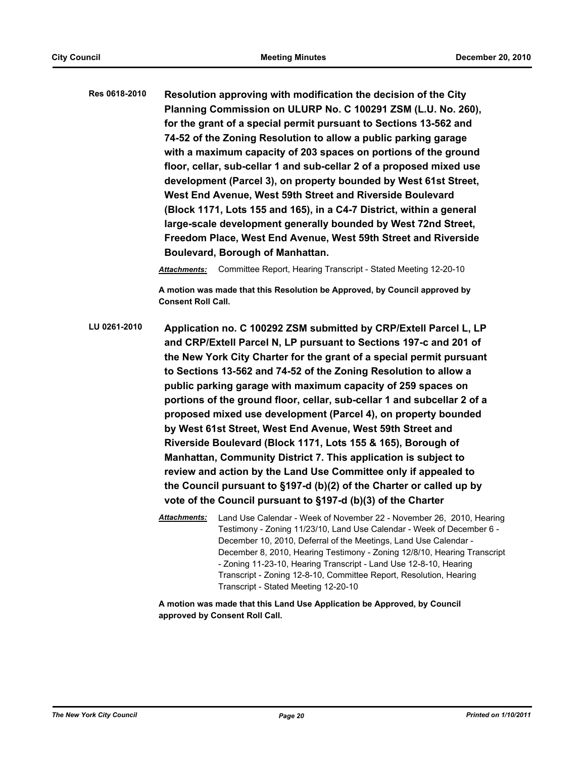**Res 0618-2010 Resolution approving with modification the decision of the City Planning Commission on ULURP No. C 100291 ZSM (L.U. No. 260), for the grant of a special permit pursuant to Sections 13-562 and 74-52 of the Zoning Resolution to allow a public parking garage with a maximum capacity of 203 spaces on portions of the ground floor, cellar, sub-cellar 1 and sub-cellar 2 of a proposed mixed use development (Parcel 3), on property bounded by West 61st Street, West End Avenue, West 59th Street and Riverside Boulevard (Block 1171, Lots 155 and 165), in a C4-7 District, within a general large-scale development generally bounded by West 72nd Street, Freedom Place, West End Avenue, West 59th Street and Riverside Boulevard, Borough of Manhattan.**

*Attachments:* Committee Report, Hearing Transcript - Stated Meeting 12-20-10

**A motion was made that this Resolution be Approved, by Council approved by Consent Roll Call.**

**LU 0261-2010 Application no. C 100292 ZSM submitted by CRP/Extell Parcel L, LP and CRP/Extell Parcel N, LP pursuant to Sections 197-c and 201 of the New York City Charter for the grant of a special permit pursuant to Sections 13-562 and 74-52 of the Zoning Resolution to allow a public parking garage with maximum capacity of 259 spaces on portions of the ground floor, cellar, sub-cellar 1 and subcellar 2 of a proposed mixed use development (Parcel 4), on property bounded by West 61st Street, West End Avenue, West 59th Street and Riverside Boulevard (Block 1171, Lots 155 & 165), Borough of Manhattan, Community District 7. This application is subject to review and action by the Land Use Committee only if appealed to the Council pursuant to §197-d (b)(2) of the Charter or called up by vote of the Council pursuant to §197-d (b)(3) of the Charter**

> *Attachments:* Land Use Calendar - Week of November 22 - November 26, 2010, Hearing Testimony - Zoning 11/23/10, Land Use Calendar - Week of December 6 - December 10, 2010, Deferral of the Meetings, Land Use Calendar - December 8, 2010, Hearing Testimony - Zoning 12/8/10, Hearing Transcript - Zoning 11-23-10, Hearing Transcript - Land Use 12-8-10, Hearing Transcript - Zoning 12-8-10, Committee Report, Resolution, Hearing Transcript - Stated Meeting 12-20-10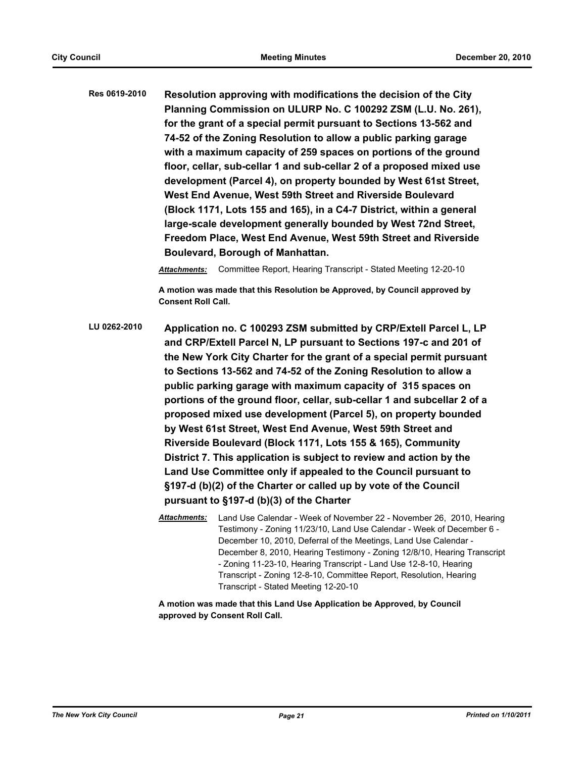**Res 0619-2010 Resolution approving with modifications the decision of the City Planning Commission on ULURP No. C 100292 ZSM (L.U. No. 261), for the grant of a special permit pursuant to Sections 13-562 and 74-52 of the Zoning Resolution to allow a public parking garage with a maximum capacity of 259 spaces on portions of the ground floor, cellar, sub-cellar 1 and sub-cellar 2 of a proposed mixed use development (Parcel 4), on property bounded by West 61st Street, West End Avenue, West 59th Street and Riverside Boulevard (Block 1171, Lots 155 and 165), in a C4-7 District, within a general large-scale development generally bounded by West 72nd Street, Freedom Place, West End Avenue, West 59th Street and Riverside Boulevard, Borough of Manhattan.**

*Attachments:* Committee Report, Hearing Transcript - Stated Meeting 12-20-10

**A motion was made that this Resolution be Approved, by Council approved by Consent Roll Call.**

**LU 0262-2010 Application no. C 100293 ZSM submitted by CRP/Extell Parcel L, LP and CRP/Extell Parcel N, LP pursuant to Sections 197-c and 201 of the New York City Charter for the grant of a special permit pursuant to Sections 13-562 and 74-52 of the Zoning Resolution to allow a public parking garage with maximum capacity of 315 spaces on portions of the ground floor, cellar, sub-cellar 1 and subcellar 2 of a proposed mixed use development (Parcel 5), on property bounded by West 61st Street, West End Avenue, West 59th Street and Riverside Boulevard (Block 1171, Lots 155 & 165), Community District 7. This application is subject to review and action by the Land Use Committee only if appealed to the Council pursuant to §197-d (b)(2) of the Charter or called up by vote of the Council pursuant to §197-d (b)(3) of the Charter**

> *Attachments:* Land Use Calendar - Week of November 22 - November 26, 2010, Hearing Testimony - Zoning 11/23/10, Land Use Calendar - Week of December 6 - December 10, 2010, Deferral of the Meetings, Land Use Calendar - December 8, 2010, Hearing Testimony - Zoning 12/8/10, Hearing Transcript - Zoning 11-23-10, Hearing Transcript - Land Use 12-8-10, Hearing Transcript - Zoning 12-8-10, Committee Report, Resolution, Hearing Transcript - Stated Meeting 12-20-10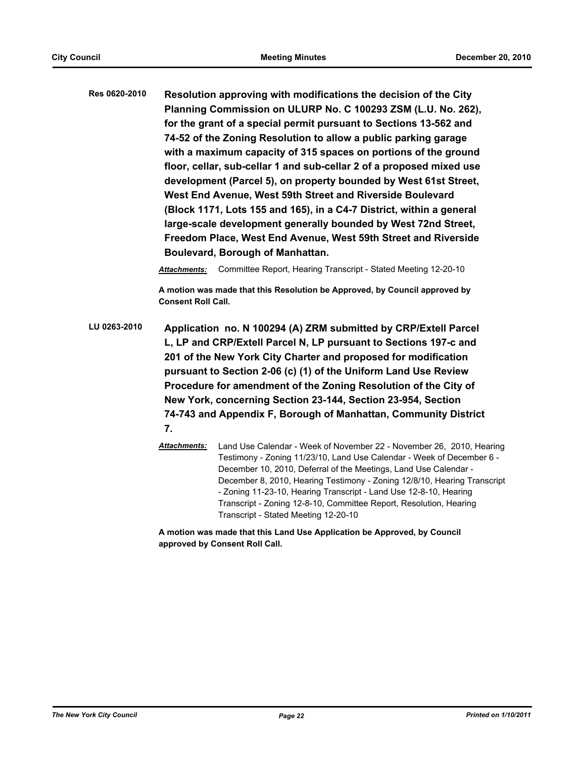**Res 0620-2010 Resolution approving with modifications the decision of the City Planning Commission on ULURP No. C 100293 ZSM (L.U. No. 262), for the grant of a special permit pursuant to Sections 13-562 and 74-52 of the Zoning Resolution to allow a public parking garage with a maximum capacity of 315 spaces on portions of the ground floor, cellar, sub-cellar 1 and sub-cellar 2 of a proposed mixed use development (Parcel 5), on property bounded by West 61st Street, West End Avenue, West 59th Street and Riverside Boulevard (Block 1171, Lots 155 and 165), in a C4-7 District, within a general large-scale development generally bounded by West 72nd Street, Freedom Place, West End Avenue, West 59th Street and Riverside Boulevard, Borough of Manhattan.**

*Attachments:* Committee Report, Hearing Transcript - Stated Meeting 12-20-10

**A motion was made that this Resolution be Approved, by Council approved by Consent Roll Call.**

**LU 0263-2010 Application no. N 100294 (A) ZRM submitted by CRP/Extell Parcel L, LP and CRP/Extell Parcel N, LP pursuant to Sections 197-c and 201 of the New York City Charter and proposed for modification pursuant to Section 2-06 (c) (1) of the Uniform Land Use Review Procedure for amendment of the Zoning Resolution of the City of New York, concerning Section 23-144, Section 23-954, Section 74-743 and Appendix F, Borough of Manhattan, Community District 7.**

> *Attachments:* Land Use Calendar - Week of November 22 - November 26, 2010, Hearing Testimony - Zoning 11/23/10, Land Use Calendar - Week of December 6 - December 10, 2010, Deferral of the Meetings, Land Use Calendar - December 8, 2010, Hearing Testimony - Zoning 12/8/10, Hearing Transcript - Zoning 11-23-10, Hearing Transcript - Land Use 12-8-10, Hearing Transcript - Zoning 12-8-10, Committee Report, Resolution, Hearing Transcript - Stated Meeting 12-20-10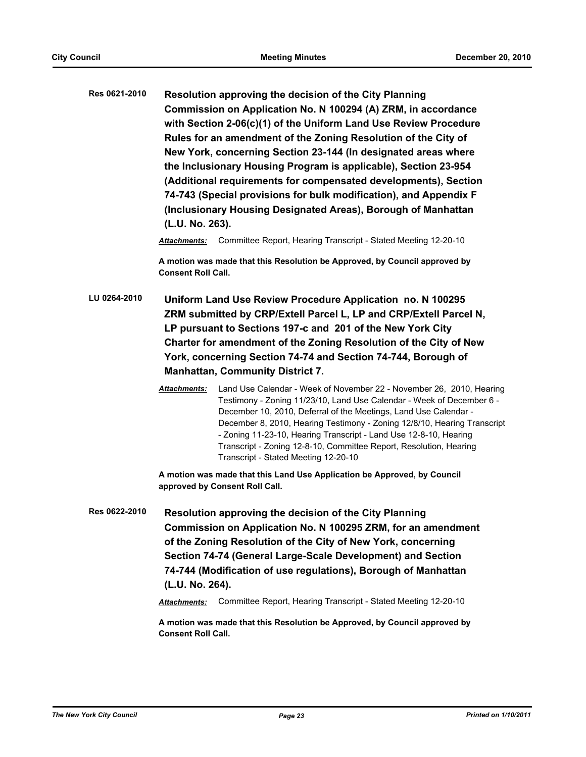**Res 0621-2010 Resolution approving the decision of the City Planning Commission on Application No. N 100294 (A) ZRM, in accordance with Section 2-06(c)(1) of the Uniform Land Use Review Procedure Rules for an amendment of the Zoning Resolution of the City of New York, concerning Section 23-144 (In designated areas where the Inclusionary Housing Program is applicable), Section 23-954 (Additional requirements for compensated developments), Section 74-743 (Special provisions for bulk modification), and Appendix F (Inclusionary Housing Designated Areas), Borough of Manhattan (L.U. No. 263).**

*Attachments:* Committee Report, Hearing Transcript - Stated Meeting 12-20-10

**A motion was made that this Resolution be Approved, by Council approved by Consent Roll Call.**

- **LU 0264-2010 Uniform Land Use Review Procedure Application no. N 100295 ZRM submitted by CRP/Extell Parcel L, LP and CRP/Extell Parcel N, LP pursuant to Sections 197-c and 201 of the New York City Charter for amendment of the Zoning Resolution of the City of New York, concerning Section 74-74 and Section 74-744, Borough of Manhattan, Community District 7.**
	- *Attachments:* Land Use Calendar Week of November 22 November 26, 2010, Hearing Testimony - Zoning 11/23/10, Land Use Calendar - Week of December 6 - December 10, 2010, Deferral of the Meetings, Land Use Calendar - December 8, 2010, Hearing Testimony - Zoning 12/8/10, Hearing Transcript - Zoning 11-23-10, Hearing Transcript - Land Use 12-8-10, Hearing Transcript - Zoning 12-8-10, Committee Report, Resolution, Hearing Transcript - Stated Meeting 12-20-10

**A motion was made that this Land Use Application be Approved, by Council approved by Consent Roll Call.**

**Res 0622-2010 Resolution approving the decision of the City Planning Commission on Application No. N 100295 ZRM, for an amendment of the Zoning Resolution of the City of New York, concerning Section 74-74 (General Large-Scale Development) and Section 74-744 (Modification of use regulations), Borough of Manhattan (L.U. No. 264).**

*Attachments:* Committee Report, Hearing Transcript - Stated Meeting 12-20-10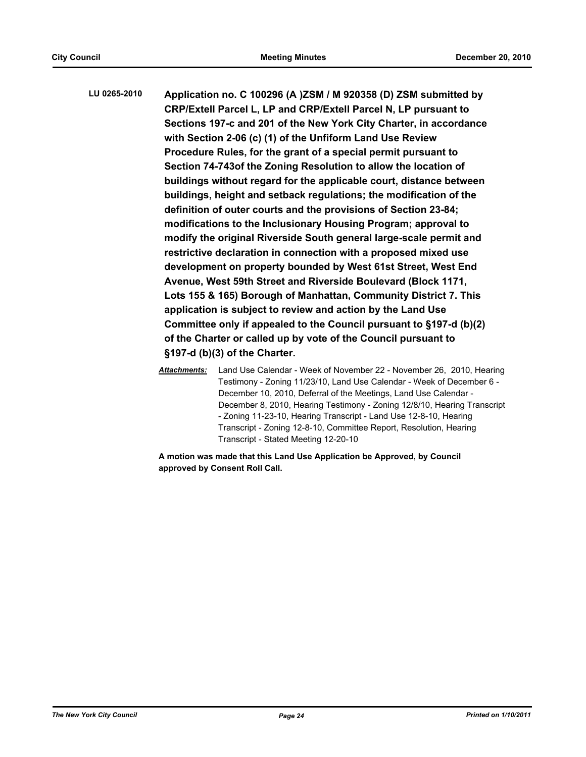**LU 0265-2010 Application no. C 100296 (A )ZSM / M 920358 (D) ZSM submitted by CRP/Extell Parcel L, LP and CRP/Extell Parcel N, LP pursuant to Sections 197-c and 201 of the New York City Charter, in accordance with Section 2-06 (c) (1) of the Unfiform Land Use Review Procedure Rules, for the grant of a special permit pursuant to Section 74-743of the Zoning Resolution to allow the location of buildings without regard for the applicable court, distance between buildings, height and setback regulations; the modification of the definition of outer courts and the provisions of Section 23-84; modifications to the Inclusionary Housing Program; approval to modify the original Riverside South general large-scale permit and restrictive declaration in connection with a proposed mixed use development on property bounded by West 61st Street, West End Avenue, West 59th Street and Riverside Boulevard (Block 1171, Lots 155 & 165) Borough of Manhattan, Community District 7. This application is subject to review and action by the Land Use Committee only if appealed to the Council pursuant to §197-d (b)(2) of the Charter or called up by vote of the Council pursuant to §197-d (b)(3) of the Charter.**

> *Attachments:* Land Use Calendar - Week of November 22 - November 26, 2010, Hearing Testimony - Zoning 11/23/10, Land Use Calendar - Week of December 6 - December 10, 2010, Deferral of the Meetings, Land Use Calendar - December 8, 2010, Hearing Testimony - Zoning 12/8/10, Hearing Transcript - Zoning 11-23-10, Hearing Transcript - Land Use 12-8-10, Hearing Transcript - Zoning 12-8-10, Committee Report, Resolution, Hearing Transcript - Stated Meeting 12-20-10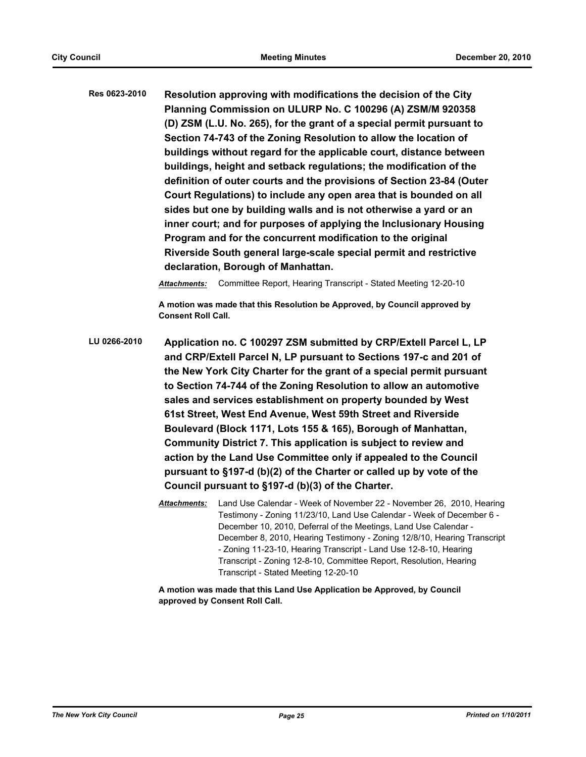**Res 0623-2010 Resolution approving with modifications the decision of the City Planning Commission on ULURP No. C 100296 (A) ZSM/M 920358 (D) ZSM (L.U. No. 265), for the grant of a special permit pursuant to Section 74-743 of the Zoning Resolution to allow the location of buildings without regard for the applicable court, distance between buildings, height and setback regulations; the modification of the definition of outer courts and the provisions of Section 23-84 (Outer Court Regulations) to include any open area that is bounded on all sides but one by building walls and is not otherwise a yard or an inner court; and for purposes of applying the Inclusionary Housing Program and for the concurrent modification to the original Riverside South general large-scale special permit and restrictive declaration, Borough of Manhattan.**

*Attachments:* Committee Report, Hearing Transcript - Stated Meeting 12-20-10

**A motion was made that this Resolution be Approved, by Council approved by Consent Roll Call.**

- **LU 0266-2010 Application no. C 100297 ZSM submitted by CRP/Extell Parcel L, LP and CRP/Extell Parcel N, LP pursuant to Sections 197-c and 201 of the New York City Charter for the grant of a special permit pursuant to Section 74-744 of the Zoning Resolution to allow an automotive sales and services establishment on property bounded by West 61st Street, West End Avenue, West 59th Street and Riverside Boulevard (Block 1171, Lots 155 & 165), Borough of Manhattan, Community District 7. This application is subject to review and action by the Land Use Committee only if appealed to the Council pursuant to §197-d (b)(2) of the Charter or called up by vote of the Council pursuant to §197-d (b)(3) of the Charter.**
	- *Attachments:* Land Use Calendar Week of November 22 November 26, 2010, Hearing Testimony - Zoning 11/23/10, Land Use Calendar - Week of December 6 - December 10, 2010, Deferral of the Meetings, Land Use Calendar - December 8, 2010, Hearing Testimony - Zoning 12/8/10, Hearing Transcript - Zoning 11-23-10, Hearing Transcript - Land Use 12-8-10, Hearing Transcript - Zoning 12-8-10, Committee Report, Resolution, Hearing Transcript - Stated Meeting 12-20-10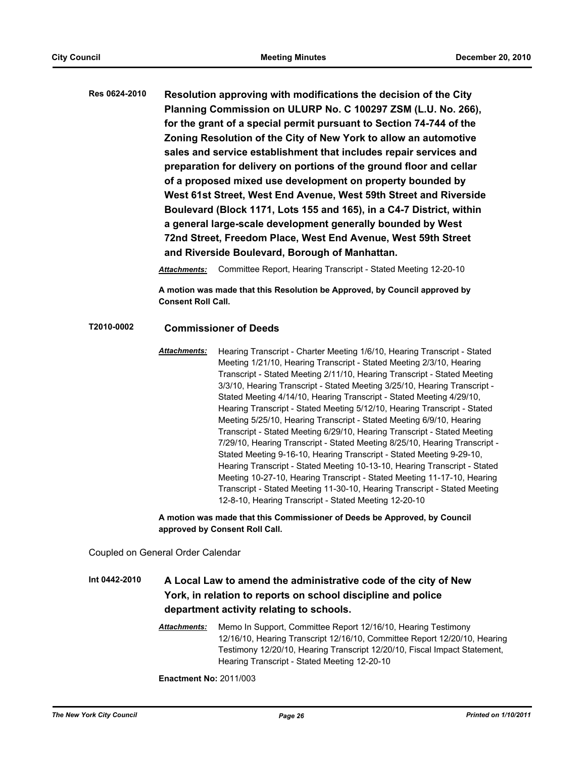**Res 0624-2010 Resolution approving with modifications the decision of the City Planning Commission on ULURP No. C 100297 ZSM (L.U. No. 266), for the grant of a special permit pursuant to Section 74-744 of the Zoning Resolution of the City of New York to allow an automotive sales and service establishment that includes repair services and preparation for delivery on portions of the ground floor and cellar of a proposed mixed use development on property bounded by West 61st Street, West End Avenue, West 59th Street and Riverside Boulevard (Block 1171, Lots 155 and 165), in a C4-7 District, within a general large-scale development generally bounded by West 72nd Street, Freedom Place, West End Avenue, West 59th Street and Riverside Boulevard, Borough of Manhattan.**

*Attachments:* Committee Report, Hearing Transcript - Stated Meeting 12-20-10

**A motion was made that this Resolution be Approved, by Council approved by Consent Roll Call.**

# **T2010-0002 Commissioner of Deeds**

*Attachments:* Hearing Transcript - Charter Meeting 1/6/10, Hearing Transcript - Stated Meeting 1/21/10, Hearing Transcript - Stated Meeting 2/3/10, Hearing Transcript - Stated Meeting 2/11/10, Hearing Transcript - Stated Meeting 3/3/10, Hearing Transcript - Stated Meeting 3/25/10, Hearing Transcript - Stated Meeting 4/14/10, Hearing Transcript - Stated Meeting 4/29/10, Hearing Transcript - Stated Meeting 5/12/10, Hearing Transcript - Stated Meeting 5/25/10, Hearing Transcript - Stated Meeting 6/9/10, Hearing Transcript - Stated Meeting 6/29/10, Hearing Transcript - Stated Meeting 7/29/10, Hearing Transcript - Stated Meeting 8/25/10, Hearing Transcript - Stated Meeting 9-16-10, Hearing Transcript - Stated Meeting 9-29-10, Hearing Transcript - Stated Meeting 10-13-10, Hearing Transcript - Stated Meeting 10-27-10, Hearing Transcript - Stated Meeting 11-17-10, Hearing Transcript - Stated Meeting 11-30-10, Hearing Transcript - Stated Meeting 12-8-10, Hearing Transcript - Stated Meeting 12-20-10

**A motion was made that this Commissioner of Deeds be Approved, by Council approved by Consent Roll Call.**

Coupled on General Order Calendar

# **Int 0442-2010 A Local Law to amend the administrative code of the city of New York, in relation to reports on school discipline and police department activity relating to schools.**

*Attachments:* Memo In Support, Committee Report 12/16/10, Hearing Testimony 12/16/10, Hearing Transcript 12/16/10, Committee Report 12/20/10, Hearing Testimony 12/20/10, Hearing Transcript 12/20/10, Fiscal Impact Statement, Hearing Transcript - Stated Meeting 12-20-10

**Enactment No:** 2011/003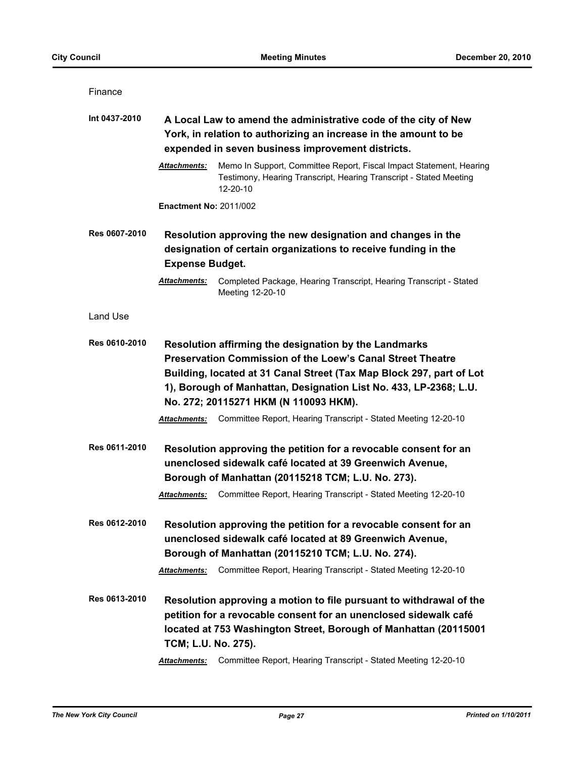| Finance       |                                                                                                                                                                                                                                                                                                                  |                                                                                                                                                                                                                                                      |  |
|---------------|------------------------------------------------------------------------------------------------------------------------------------------------------------------------------------------------------------------------------------------------------------------------------------------------------------------|------------------------------------------------------------------------------------------------------------------------------------------------------------------------------------------------------------------------------------------------------|--|
| Int 0437-2010 | A Local Law to amend the administrative code of the city of New<br>York, in relation to authorizing an increase in the amount to be<br>expended in seven business improvement districts.                                                                                                                         |                                                                                                                                                                                                                                                      |  |
|               | <b>Attachments:</b>                                                                                                                                                                                                                                                                                              | Memo In Support, Committee Report, Fiscal Impact Statement, Hearing<br>Testimony, Hearing Transcript, Hearing Transcript - Stated Meeting<br>12-20-10                                                                                                |  |
|               | <b>Enactment No: 2011/002</b>                                                                                                                                                                                                                                                                                    |                                                                                                                                                                                                                                                      |  |
| Res 0607-2010 | Resolution approving the new designation and changes in the<br>designation of certain organizations to receive funding in the<br><b>Expense Budget.</b>                                                                                                                                                          |                                                                                                                                                                                                                                                      |  |
|               | Attachments:                                                                                                                                                                                                                                                                                                     | Completed Package, Hearing Transcript, Hearing Transcript - Stated<br>Meeting 12-20-10                                                                                                                                                               |  |
| Land Use      |                                                                                                                                                                                                                                                                                                                  |                                                                                                                                                                                                                                                      |  |
| Res 0610-2010 | Resolution affirming the designation by the Landmarks<br><b>Preservation Commission of the Loew's Canal Street Theatre</b><br>Building, located at 31 Canal Street (Tax Map Block 297, part of Lot<br>1), Borough of Manhattan, Designation List No. 433, LP-2368; L.U.<br>No. 272; 20115271 HKM (N 110093 HKM). |                                                                                                                                                                                                                                                      |  |
|               | <b>Attachments:</b>                                                                                                                                                                                                                                                                                              | Committee Report, Hearing Transcript - Stated Meeting 12-20-10                                                                                                                                                                                       |  |
| Res 0611-2010 | <b>Attachments:</b>                                                                                                                                                                                                                                                                                              | Resolution approving the petition for a revocable consent for an<br>unenclosed sidewalk café located at 39 Greenwich Avenue,<br>Borough of Manhattan (20115218 TCM; L.U. No. 273).<br>Committee Report, Hearing Transcript - Stated Meeting 12-20-10 |  |
| Res 0612-2010 | <b>Attachments:</b>                                                                                                                                                                                                                                                                                              | Resolution approving the petition for a revocable consent for an<br>unenclosed sidewalk café located at 89 Greenwich Avenue,<br>Borough of Manhattan (20115210 TCM; L.U. No. 274).<br>Committee Report, Hearing Transcript - Stated Meeting 12-20-10 |  |
| Res 0613-2010 | TCM; L.U. No. 275).                                                                                                                                                                                                                                                                                              | Resolution approving a motion to file pursuant to withdrawal of the<br>petition for a revocable consent for an unenclosed sidewalk café<br>located at 753 Washington Street, Borough of Manhattan (20115001                                          |  |
|               | Attachments:                                                                                                                                                                                                                                                                                                     | Committee Report, Hearing Transcript - Stated Meeting 12-20-10                                                                                                                                                                                       |  |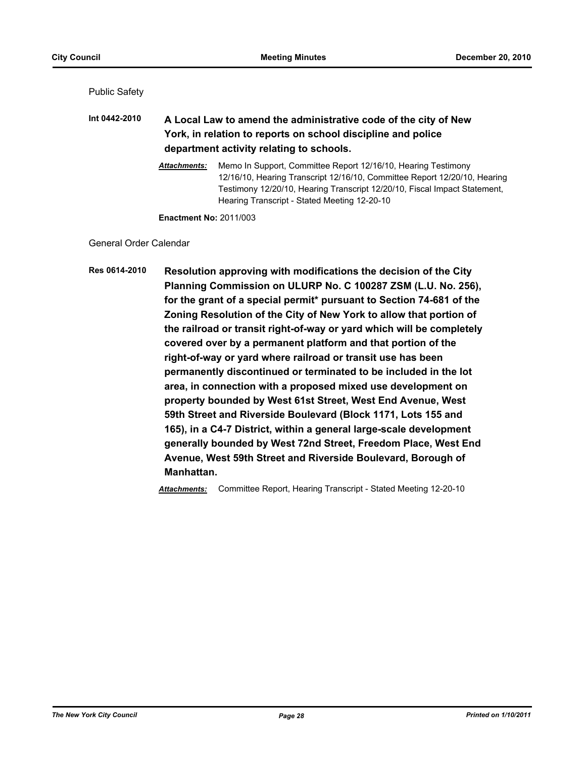Public Safety

**Int 0442-2010 A Local Law to amend the administrative code of the city of New York, in relation to reports on school discipline and police department activity relating to schools.**

> *Attachments:* Memo In Support, Committee Report 12/16/10, Hearing Testimony 12/16/10, Hearing Transcript 12/16/10, Committee Report 12/20/10, Hearing Testimony 12/20/10, Hearing Transcript 12/20/10, Fiscal Impact Statement, Hearing Transcript - Stated Meeting 12-20-10

**Enactment No:** 2011/003

General Order Calendar

**Res 0614-2010 Resolution approving with modifications the decision of the City Planning Commission on ULURP No. C 100287 ZSM (L.U. No. 256), for the grant of a special permit\* pursuant to Section 74-681 of the Zoning Resolution of the City of New York to allow that portion of the railroad or transit right-of-way or yard which will be completely covered over by a permanent platform and that portion of the right-of-way or yard where railroad or transit use has been permanently discontinued or terminated to be included in the lot area, in connection with a proposed mixed use development on property bounded by West 61st Street, West End Avenue, West 59th Street and Riverside Boulevard (Block 1171, Lots 155 and 165), in a C4-7 District, within a general large-scale development generally bounded by West 72nd Street, Freedom Place, West End Avenue, West 59th Street and Riverside Boulevard, Borough of Manhattan.**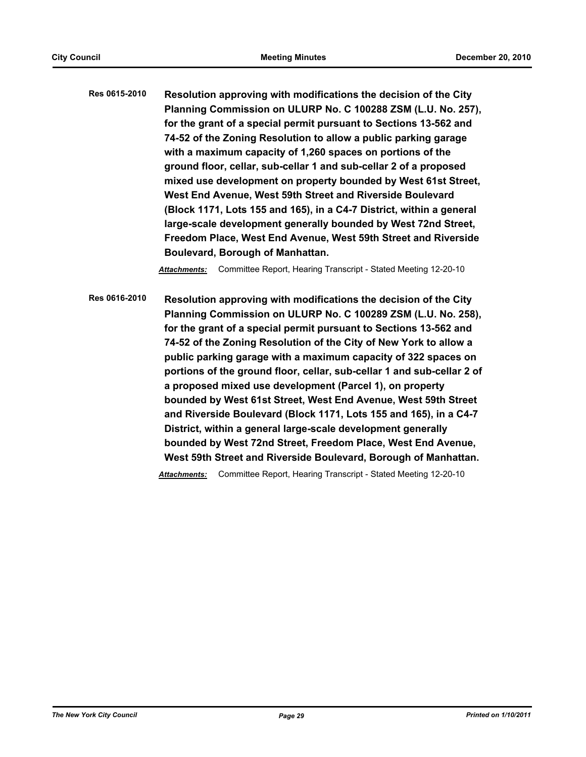**Res 0615-2010 Resolution approving with modifications the decision of the City Planning Commission on ULURP No. C 100288 ZSM (L.U. No. 257), for the grant of a special permit pursuant to Sections 13-562 and 74-52 of the Zoning Resolution to allow a public parking garage with a maximum capacity of 1,260 spaces on portions of the ground floor, cellar, sub-cellar 1 and sub-cellar 2 of a proposed mixed use development on property bounded by West 61st Street, West End Avenue, West 59th Street and Riverside Boulevard (Block 1171, Lots 155 and 165), in a C4-7 District, within a general large-scale development generally bounded by West 72nd Street, Freedom Place, West End Avenue, West 59th Street and Riverside Boulevard, Borough of Manhattan.**

*Attachments:* Committee Report, Hearing Transcript - Stated Meeting 12-20-10

**Res 0616-2010 Resolution approving with modifications the decision of the City Planning Commission on ULURP No. C 100289 ZSM (L.U. No. 258), for the grant of a special permit pursuant to Sections 13-562 and 74-52 of the Zoning Resolution of the City of New York to allow a public parking garage with a maximum capacity of 322 spaces on portions of the ground floor, cellar, sub-cellar 1 and sub-cellar 2 of a proposed mixed use development (Parcel 1), on property bounded by West 61st Street, West End Avenue, West 59th Street and Riverside Boulevard (Block 1171, Lots 155 and 165), in a C4-7 District, within a general large-scale development generally bounded by West 72nd Street, Freedom Place, West End Avenue, West 59th Street and Riverside Boulevard, Borough of Manhattan.**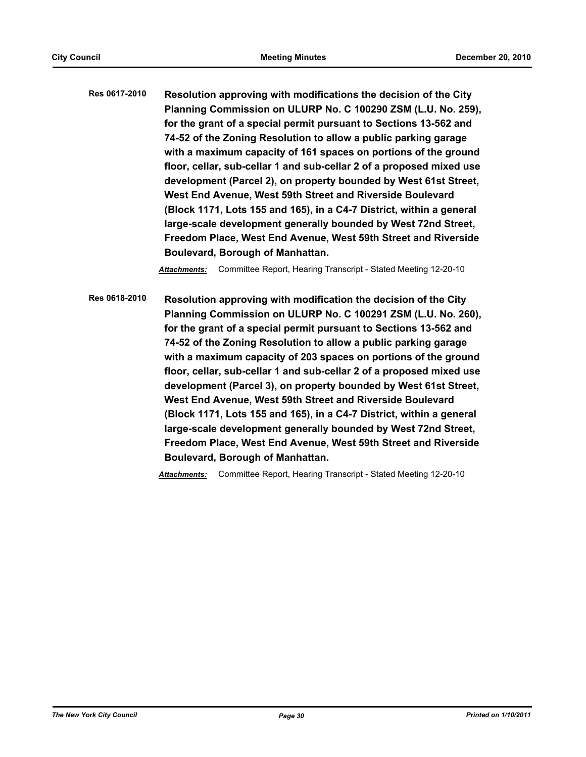**Res 0617-2010 Resolution approving with modifications the decision of the City Planning Commission on ULURP No. C 100290 ZSM (L.U. No. 259), for the grant of a special permit pursuant to Sections 13-562 and 74-52 of the Zoning Resolution to allow a public parking garage with a maximum capacity of 161 spaces on portions of the ground floor, cellar, sub-cellar 1 and sub-cellar 2 of a proposed mixed use development (Parcel 2), on property bounded by West 61st Street, West End Avenue, West 59th Street and Riverside Boulevard (Block 1171, Lots 155 and 165), in a C4-7 District, within a general large-scale development generally bounded by West 72nd Street, Freedom Place, West End Avenue, West 59th Street and Riverside Boulevard, Borough of Manhattan.**

*Attachments:* Committee Report, Hearing Transcript - Stated Meeting 12-20-10

**Res 0618-2010 Resolution approving with modification the decision of the City Planning Commission on ULURP No. C 100291 ZSM (L.U. No. 260), for the grant of a special permit pursuant to Sections 13-562 and 74-52 of the Zoning Resolution to allow a public parking garage with a maximum capacity of 203 spaces on portions of the ground floor, cellar, sub-cellar 1 and sub-cellar 2 of a proposed mixed use development (Parcel 3), on property bounded by West 61st Street, West End Avenue, West 59th Street and Riverside Boulevard (Block 1171, Lots 155 and 165), in a C4-7 District, within a general large-scale development generally bounded by West 72nd Street, Freedom Place, West End Avenue, West 59th Street and Riverside Boulevard, Borough of Manhattan.**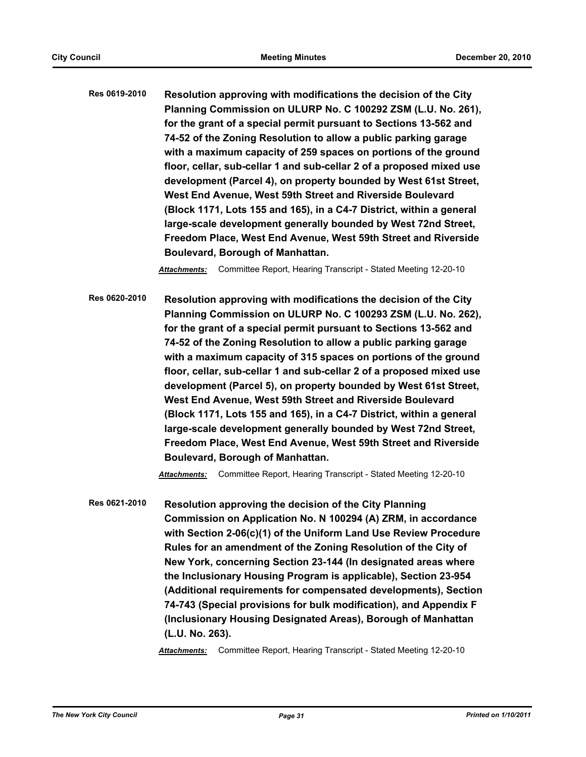**Res 0619-2010 Resolution approving with modifications the decision of the City Planning Commission on ULURP No. C 100292 ZSM (L.U. No. 261), for the grant of a special permit pursuant to Sections 13-562 and 74-52 of the Zoning Resolution to allow a public parking garage with a maximum capacity of 259 spaces on portions of the ground floor, cellar, sub-cellar 1 and sub-cellar 2 of a proposed mixed use development (Parcel 4), on property bounded by West 61st Street, West End Avenue, West 59th Street and Riverside Boulevard (Block 1171, Lots 155 and 165), in a C4-7 District, within a general large-scale development generally bounded by West 72nd Street, Freedom Place, West End Avenue, West 59th Street and Riverside Boulevard, Borough of Manhattan.**

*Attachments:* Committee Report, Hearing Transcript - Stated Meeting 12-20-10

**Res 0620-2010 Resolution approving with modifications the decision of the City Planning Commission on ULURP No. C 100293 ZSM (L.U. No. 262), for the grant of a special permit pursuant to Sections 13-562 and 74-52 of the Zoning Resolution to allow a public parking garage with a maximum capacity of 315 spaces on portions of the ground floor, cellar, sub-cellar 1 and sub-cellar 2 of a proposed mixed use development (Parcel 5), on property bounded by West 61st Street, West End Avenue, West 59th Street and Riverside Boulevard (Block 1171, Lots 155 and 165), in a C4-7 District, within a general large-scale development generally bounded by West 72nd Street, Freedom Place, West End Avenue, West 59th Street and Riverside Boulevard, Borough of Manhattan.**

*Attachments:* Committee Report, Hearing Transcript - Stated Meeting 12-20-10

**Res 0621-2010 Resolution approving the decision of the City Planning Commission on Application No. N 100294 (A) ZRM, in accordance with Section 2-06(c)(1) of the Uniform Land Use Review Procedure Rules for an amendment of the Zoning Resolution of the City of New York, concerning Section 23-144 (In designated areas where the Inclusionary Housing Program is applicable), Section 23-954 (Additional requirements for compensated developments), Section 74-743 (Special provisions for bulk modification), and Appendix F (Inclusionary Housing Designated Areas), Borough of Manhattan (L.U. No. 263).**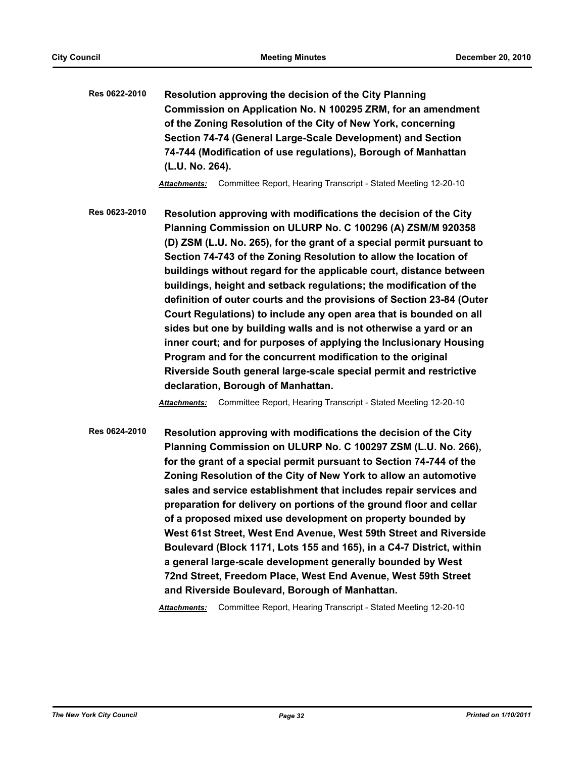**Res 0622-2010 Resolution approving the decision of the City Planning Commission on Application No. N 100295 ZRM, for an amendment of the Zoning Resolution of the City of New York, concerning Section 74-74 (General Large-Scale Development) and Section 74-744 (Modification of use regulations), Borough of Manhattan (L.U. No. 264).**

*Attachments:* Committee Report, Hearing Transcript - Stated Meeting 12-20-10

**Res 0623-2010 Resolution approving with modifications the decision of the City Planning Commission on ULURP No. C 100296 (A) ZSM/M 920358 (D) ZSM (L.U. No. 265), for the grant of a special permit pursuant to Section 74-743 of the Zoning Resolution to allow the location of buildings without regard for the applicable court, distance between buildings, height and setback regulations; the modification of the definition of outer courts and the provisions of Section 23-84 (Outer Court Regulations) to include any open area that is bounded on all sides but one by building walls and is not otherwise a yard or an inner court; and for purposes of applying the Inclusionary Housing Program and for the concurrent modification to the original Riverside South general large-scale special permit and restrictive declaration, Borough of Manhattan.**

*Attachments:* Committee Report, Hearing Transcript - Stated Meeting 12-20-10

**Res 0624-2010 Resolution approving with modifications the decision of the City Planning Commission on ULURP No. C 100297 ZSM (L.U. No. 266), for the grant of a special permit pursuant to Section 74-744 of the Zoning Resolution of the City of New York to allow an automotive sales and service establishment that includes repair services and preparation for delivery on portions of the ground floor and cellar of a proposed mixed use development on property bounded by West 61st Street, West End Avenue, West 59th Street and Riverside Boulevard (Block 1171, Lots 155 and 165), in a C4-7 District, within a general large-scale development generally bounded by West 72nd Street, Freedom Place, West End Avenue, West 59th Street and Riverside Boulevard, Borough of Manhattan.**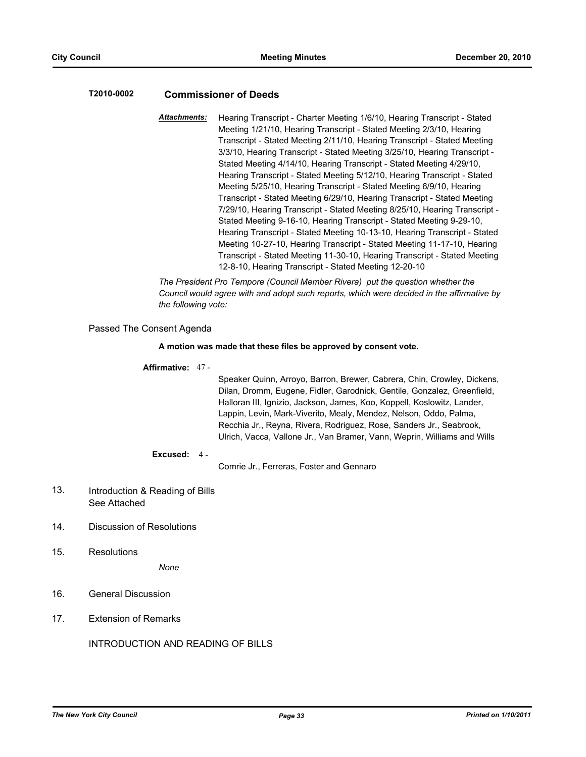# **T2010-0002 Commissioner of Deeds**

*Attachments:* Hearing Transcript - Charter Meeting 1/6/10, Hearing Transcript - Stated Meeting 1/21/10, Hearing Transcript - Stated Meeting 2/3/10, Hearing Transcript - Stated Meeting 2/11/10, Hearing Transcript - Stated Meeting 3/3/10, Hearing Transcript - Stated Meeting 3/25/10, Hearing Transcript - Stated Meeting 4/14/10, Hearing Transcript - Stated Meeting 4/29/10, Hearing Transcript - Stated Meeting 5/12/10, Hearing Transcript - Stated Meeting 5/25/10, Hearing Transcript - Stated Meeting 6/9/10, Hearing Transcript - Stated Meeting 6/29/10, Hearing Transcript - Stated Meeting 7/29/10, Hearing Transcript - Stated Meeting 8/25/10, Hearing Transcript - Stated Meeting 9-16-10, Hearing Transcript - Stated Meeting 9-29-10, Hearing Transcript - Stated Meeting 10-13-10, Hearing Transcript - Stated Meeting 10-27-10, Hearing Transcript - Stated Meeting 11-17-10, Hearing Transcript - Stated Meeting 11-30-10, Hearing Transcript - Stated Meeting 12-8-10, Hearing Transcript - Stated Meeting 12-20-10

*The President Pro Tempore (Council Member Rivera) put the question whether the Council would agree with and adopt such reports, which were decided in the affirmative by the following vote:*

### Passed The Consent Agenda

#### **A motion was made that these files be approved by consent vote.**

#### **Affirmative:** 47 -

Speaker Quinn, Arroyo, Barron, Brewer, Cabrera, Chin, Crowley, Dickens, Dilan, Dromm, Eugene, Fidler, Garodnick, Gentile, Gonzalez, Greenfield, Halloran III, Ignizio, Jackson, James, Koo, Koppell, Koslowitz, Lander, Lappin, Levin, Mark-Viverito, Mealy, Mendez, Nelson, Oddo, Palma, Recchia Jr., Reyna, Rivera, Rodriguez, Rose, Sanders Jr., Seabrook, Ulrich, Vacca, Vallone Jr., Van Bramer, Vann, Weprin, Williams and Wills

#### **Excused:** 4 -

Comrie Jr., Ferreras, Foster and Gennaro

- Introduction & Reading of Bills See Attached 13.
- 14. Discussion of Resolutions
- 15. Resolutions

*None*

- 16. General Discussion
- 17. Extension of Remarks

INTRODUCTION AND READING OF BILLS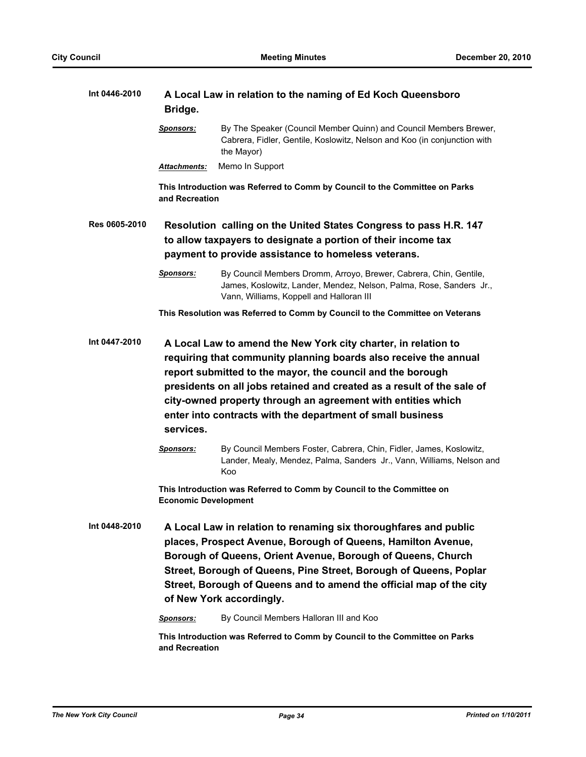| Int 0446-2010 | A Local Law in relation to the naming of Ed Koch Queensboro<br>Bridge.                                                                                                                                                                                                                                                                                                                                                |                                                                                                                                                                                      |  |
|---------------|-----------------------------------------------------------------------------------------------------------------------------------------------------------------------------------------------------------------------------------------------------------------------------------------------------------------------------------------------------------------------------------------------------------------------|--------------------------------------------------------------------------------------------------------------------------------------------------------------------------------------|--|
|               | <b>Sponsors:</b>                                                                                                                                                                                                                                                                                                                                                                                                      | By The Speaker (Council Member Quinn) and Council Members Brewer,<br>Cabrera, Fidler, Gentile, Koslowitz, Nelson and Koo (in conjunction with<br>the Mayor)                          |  |
|               | Attachments:                                                                                                                                                                                                                                                                                                                                                                                                          | Memo In Support                                                                                                                                                                      |  |
|               | and Recreation                                                                                                                                                                                                                                                                                                                                                                                                        | This Introduction was Referred to Comm by Council to the Committee on Parks                                                                                                          |  |
| Res 0605-2010 | Resolution calling on the United States Congress to pass H.R. 147<br>to allow taxpayers to designate a portion of their income tax<br>payment to provide assistance to homeless veterans.                                                                                                                                                                                                                             |                                                                                                                                                                                      |  |
|               | <b>Sponsors:</b>                                                                                                                                                                                                                                                                                                                                                                                                      | By Council Members Dromm, Arroyo, Brewer, Cabrera, Chin, Gentile,<br>James, Koslowitz, Lander, Mendez, Nelson, Palma, Rose, Sanders Jr.,<br>Vann, Williams, Koppell and Halloran III |  |
|               |                                                                                                                                                                                                                                                                                                                                                                                                                       | This Resolution was Referred to Comm by Council to the Committee on Veterans                                                                                                         |  |
| Int 0447-2010 | A Local Law to amend the New York city charter, in relation to<br>requiring that community planning boards also receive the annual<br>report submitted to the mayor, the council and the borough<br>presidents on all jobs retained and created as a result of the sale of<br>city-owned property through an agreement with entities which<br>enter into contracts with the department of small business<br>services. |                                                                                                                                                                                      |  |
|               | <b>Sponsors:</b>                                                                                                                                                                                                                                                                                                                                                                                                      | By Council Members Foster, Cabrera, Chin, Fidler, James, Koslowitz,<br>Lander, Mealy, Mendez, Palma, Sanders Jr., Vann, Williams, Nelson and<br>Koo                                  |  |
|               | This Introduction was Referred to Comm by Council to the Committee on<br><b>Economic Development</b>                                                                                                                                                                                                                                                                                                                  |                                                                                                                                                                                      |  |
| Int 0448-2010 | A Local Law in relation to renaming six thoroughfares and public<br>places, Prospect Avenue, Borough of Queens, Hamilton Avenue,<br>Borough of Queens, Orient Avenue, Borough of Queens, Church<br>Street, Borough of Queens, Pine Street, Borough of Queens, Poplar<br>Street, Borough of Queens and to amend the official map of the city<br>of New York accordingly.                                               |                                                                                                                                                                                      |  |
|               | <b>Sponsors:</b>                                                                                                                                                                                                                                                                                                                                                                                                      | By Council Members Halloran III and Koo                                                                                                                                              |  |
|               | and Recreation                                                                                                                                                                                                                                                                                                                                                                                                        | This Introduction was Referred to Comm by Council to the Committee on Parks                                                                                                          |  |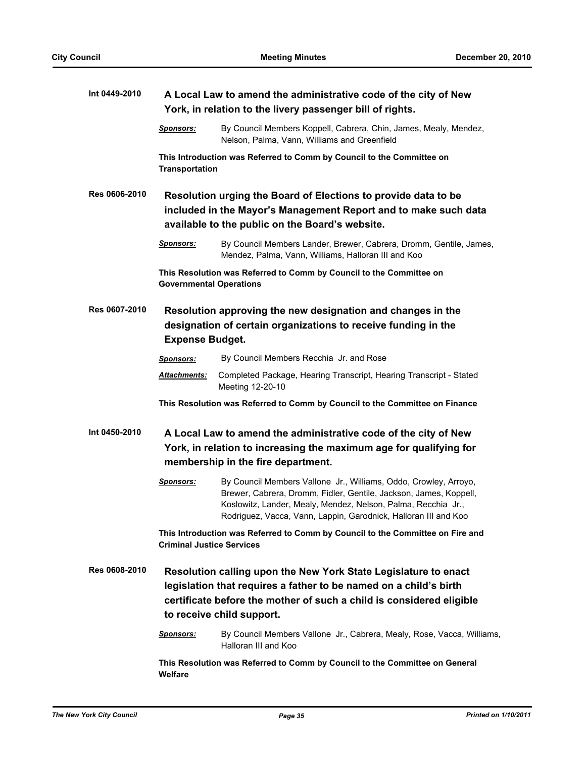| Int 0449-2010 | A Local Law to amend the administrative code of the city of New<br>York, in relation to the livery passenger bill of rights.                                                                                                              |                                                                                                                                                                                                                                                                           |  |
|---------------|-------------------------------------------------------------------------------------------------------------------------------------------------------------------------------------------------------------------------------------------|---------------------------------------------------------------------------------------------------------------------------------------------------------------------------------------------------------------------------------------------------------------------------|--|
|               | <u>Sponsors:</u>                                                                                                                                                                                                                          | By Council Members Koppell, Cabrera, Chin, James, Mealy, Mendez,<br>Nelson, Palma, Vann, Williams and Greenfield                                                                                                                                                          |  |
|               | <b>Transportation</b>                                                                                                                                                                                                                     | This Introduction was Referred to Comm by Council to the Committee on                                                                                                                                                                                                     |  |
| Res 0606-2010 | Resolution urging the Board of Elections to provide data to be<br>included in the Mayor's Management Report and to make such data<br>available to the public on the Board's website.                                                      |                                                                                                                                                                                                                                                                           |  |
|               | <u>Sponsors:</u>                                                                                                                                                                                                                          | By Council Members Lander, Brewer, Cabrera, Dromm, Gentile, James,<br>Mendez, Palma, Vann, Williams, Halloran III and Koo                                                                                                                                                 |  |
|               | <b>Governmental Operations</b>                                                                                                                                                                                                            | This Resolution was Referred to Comm by Council to the Committee on                                                                                                                                                                                                       |  |
| Res 0607-2010 | Resolution approving the new designation and changes in the<br>designation of certain organizations to receive funding in the<br><b>Expense Budget.</b>                                                                                   |                                                                                                                                                                                                                                                                           |  |
|               | <b>Sponsors:</b>                                                                                                                                                                                                                          | By Council Members Recchia Jr. and Rose                                                                                                                                                                                                                                   |  |
|               | <u> Attachments:</u>                                                                                                                                                                                                                      | Completed Package, Hearing Transcript, Hearing Transcript - Stated<br>Meeting 12-20-10                                                                                                                                                                                    |  |
|               |                                                                                                                                                                                                                                           | This Resolution was Referred to Comm by Council to the Committee on Finance                                                                                                                                                                                               |  |
| Int 0450-2010 | A Local Law to amend the administrative code of the city of New<br>York, in relation to increasing the maximum age for qualifying for<br>membership in the fire department.                                                               |                                                                                                                                                                                                                                                                           |  |
|               | <b>Sponsors:</b>                                                                                                                                                                                                                          | By Council Members Vallone Jr., Williams, Oddo, Crowley, Arroyo,<br>Brewer, Cabrera, Dromm, Fidler, Gentile, Jackson, James, Koppell,<br>Koslowitz, Lander, Mealy, Mendez, Nelson, Palma, Recchia Jr.,<br>Rodriguez, Vacca, Vann, Lappin, Garodnick, Halloran III and Koo |  |
|               | This Introduction was Referred to Comm by Council to the Committee on Fire and<br><b>Criminal Justice Services</b>                                                                                                                        |                                                                                                                                                                                                                                                                           |  |
| Res 0608-2010 | Resolution calling upon the New York State Legislature to enact<br>legislation that requires a father to be named on a child's birth<br>certificate before the mother of such a child is considered eligible<br>to receive child support. |                                                                                                                                                                                                                                                                           |  |
|               | <b>Sponsors:</b>                                                                                                                                                                                                                          | By Council Members Vallone Jr., Cabrera, Mealy, Rose, Vacca, Williams,<br>Halloran III and Koo                                                                                                                                                                            |  |
|               | This Resolution was Referred to Comm by Council to the Committee on General<br>Welfare                                                                                                                                                    |                                                                                                                                                                                                                                                                           |  |